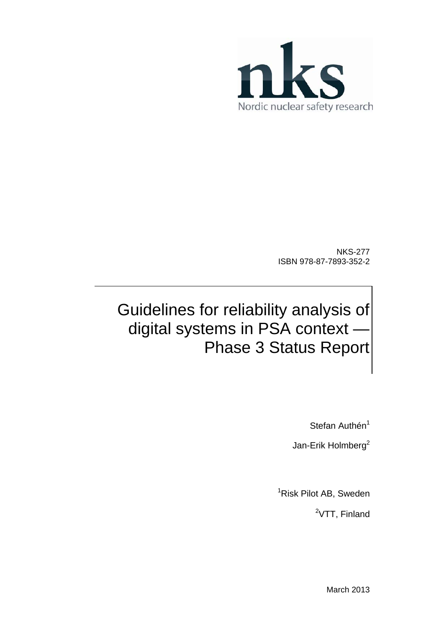

NKS-277 ISBN 978-87-7893-352-2

# Guidelines for reliability analysis of digital systems in PSA context — Phase 3 Status Report

Stefan Authén<sup>1</sup>

Jan-Erik Holmberg<sup>2</sup>

1 Risk Pilot AB, Sweden

<sup>2</sup>VTT, Finland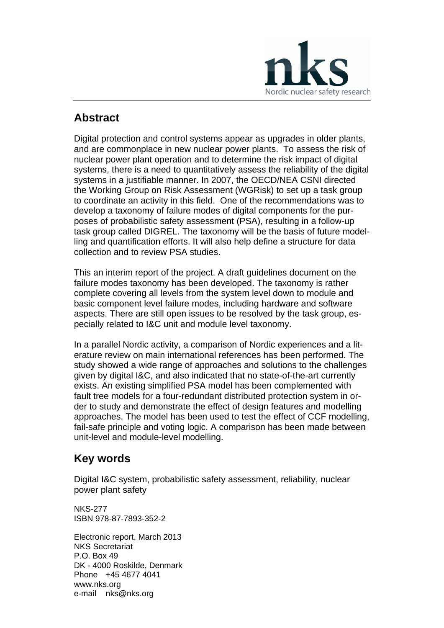

#### **Abstract**

Digital protection and control systems appear as upgrades in older plants, and are commonplace in new nuclear power plants. To assess the risk of nuclear power plant operation and to determine the risk impact of digital systems, there is a need to quantitatively assess the reliability of the digital systems in a justifiable manner. In 2007, the OECD/NEA CSNI directed the Working Group on Risk Assessment (WGRisk) to set up a task group to coordinate an activity in this field. One of the recommendations was to develop a taxonomy of failure modes of digital components for the purposes of probabilistic safety assessment (PSA), resulting in a follow-up task group called DIGREL. The taxonomy will be the basis of future modelling and quantification efforts. It will also help define a structure for data collection and to review PSA studies.

This an interim report of the project. A draft guidelines document on the failure modes taxonomy has been developed. The taxonomy is rather complete covering all levels from the system level down to module and basic component level failure modes, including hardware and software aspects. There are still open issues to be resolved by the task group, especially related to I&C unit and module level taxonomy.

In a parallel Nordic activity, a comparison of Nordic experiences and a literature review on main international references has been performed. The study showed a wide range of approaches and solutions to the challenges given by digital I&C, and also indicated that no state-of-the-art currently exists. An existing simplified PSA model has been complemented with fault tree models for a four-redundant distributed protection system in order to study and demonstrate the effect of design features and modelling approaches. The model has been used to test the effect of CCF modelling, fail-safe principle and voting logic. A comparison has been made between unit-level and module-level modelling.

### **Key words**

Digital I&C system, probabilistic safety assessment, reliability, nuclear power plant safety

NKS-277 ISBN 978-87-7893-352-2

Electronic report, March 2013 NKS Secretariat P.O. Box 49 DK - 4000 Roskilde, Denmark Phone +45 4677 4041 www.nks.org e-mail nks@nks.org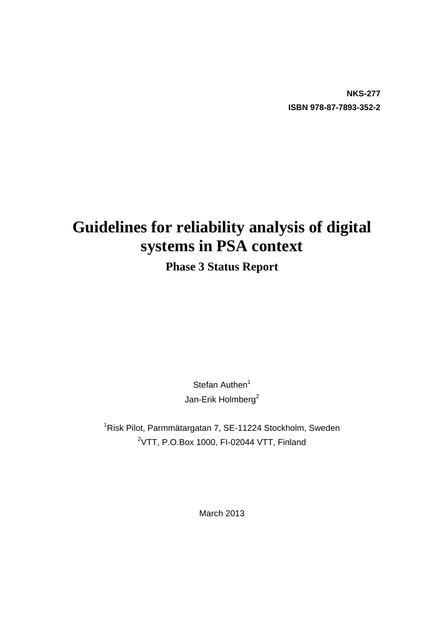**NKS-277 ISBN 978-87-7893-352-2** 

## **Guidelines for reliability analysis of digital systems in PSA context**

### **Phase 3 Status Report**

Stefan Authen $1$ Jan-Erik Holmberg<sup>2</sup>

<sup>1</sup>Risk Pilot, Parmmätargatan 7, SE-11224 Stockholm, Sweden  $2V$ TT, P.O.Box 1000, FI-02044 VTT, Finland

March 2013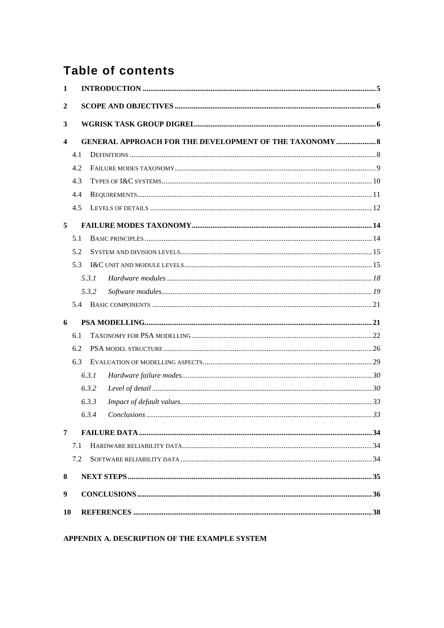### **Table of contents**

| 1                       |     |       |                                                                |  |
|-------------------------|-----|-------|----------------------------------------------------------------|--|
| $\overline{2}$          |     |       |                                                                |  |
| 3                       |     |       |                                                                |  |
| $\overline{\mathbf{4}}$ |     |       | <b>GENERAL APPROACH FOR THE DEVELOPMENT OF THE TAXONOMY  8</b> |  |
|                         | 4.1 |       |                                                                |  |
|                         | 4.2 |       |                                                                |  |
|                         | 4.3 |       |                                                                |  |
|                         | 4.4 |       |                                                                |  |
|                         | 4.5 |       |                                                                |  |
|                         |     |       |                                                                |  |
| 5                       |     |       |                                                                |  |
|                         | 5.1 |       |                                                                |  |
|                         | 5.2 |       |                                                                |  |
|                         | 5.3 |       |                                                                |  |
|                         |     | 5.3.1 |                                                                |  |
|                         |     | 5.3.2 |                                                                |  |
|                         | 5.4 |       |                                                                |  |
| 6                       |     |       |                                                                |  |
|                         | 6.1 |       |                                                                |  |
|                         | 6.2 |       |                                                                |  |
|                         | 6.3 |       |                                                                |  |
|                         |     | 6.3.1 |                                                                |  |
|                         |     | 6.3.2 |                                                                |  |
|                         |     | 6.3.3 |                                                                |  |
|                         |     | 6.3.4 |                                                                |  |
| 7                       |     |       |                                                                |  |
|                         | 7.1 |       |                                                                |  |
|                         | 7.2 |       |                                                                |  |
| 8                       |     |       |                                                                |  |
| 9                       |     |       |                                                                |  |
|                         |     |       |                                                                |  |
| 10                      |     |       |                                                                |  |

#### APPENDIX A. DESCRIPTION OF THE EXAMPLE SYSTEM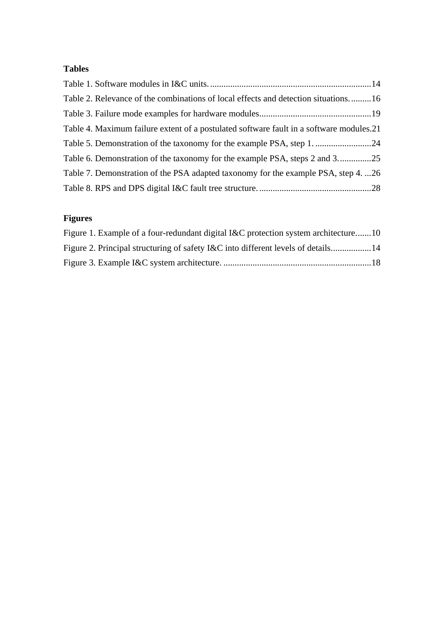#### **Tables**

| Table 2. Relevance of the combinations of local effects and detection situations16      |  |
|-----------------------------------------------------------------------------------------|--|
|                                                                                         |  |
| Table 4. Maximum failure extent of a postulated software fault in a software modules.21 |  |
| Table 5. Demonstration of the taxonomy for the example PSA, step 1. 24                  |  |
|                                                                                         |  |
| Table 7. Demonstration of the PSA adapted taxonomy for the example PSA, step 4. 26      |  |
|                                                                                         |  |

#### **Figures**

| Figure 1. Example of a four-redundant digital I&C protection system architecture10 |  |
|------------------------------------------------------------------------------------|--|
| Figure 2. Principal structuring of safety I&C into different levels of details14   |  |
|                                                                                    |  |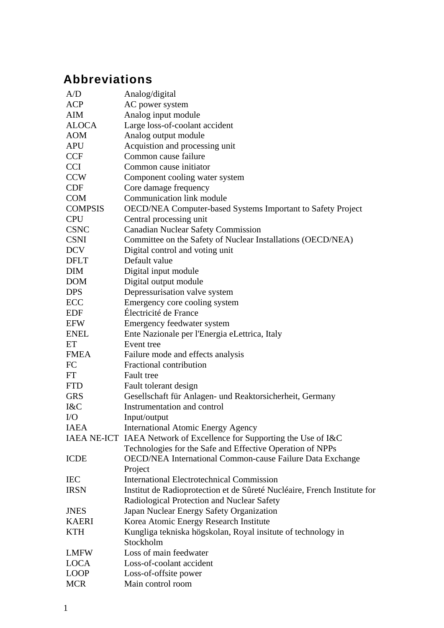### **Abbreviations**

| A/D                | Analog/digital                                                           |
|--------------------|--------------------------------------------------------------------------|
| <b>ACP</b>         | AC power system                                                          |
| <b>AIM</b>         | Analog input module                                                      |
| <b>ALOCA</b>       | Large loss-of-coolant accident                                           |
| <b>AOM</b>         | Analog output module                                                     |
| <b>APU</b>         | Acquistion and processing unit                                           |
| <b>CCF</b>         | Common cause failure                                                     |
| <b>CCI</b>         | Common cause initiator                                                   |
| <b>CCW</b>         | Component cooling water system                                           |
| <b>CDF</b>         | Core damage frequency                                                    |
| <b>COM</b>         | Communication link module                                                |
| <b>COMPSIS</b>     | OECD/NEA Computer-based Systems Important to Safety Project              |
| <b>CPU</b>         | Central processing unit                                                  |
| <b>CSNC</b>        | <b>Canadian Nuclear Safety Commission</b>                                |
| <b>CSNI</b>        | Committee on the Safety of Nuclear Installations (OECD/NEA)              |
| <b>DCV</b>         | Digital control and voting unit                                          |
| <b>DFLT</b>        | Default value                                                            |
| <b>DIM</b>         | Digital input module                                                     |
| <b>DOM</b>         | Digital output module                                                    |
| <b>DPS</b>         | Depressurisation valve system                                            |
| ECC                | Emergency core cooling system                                            |
| <b>EDF</b>         | Électricité de France                                                    |
| <b>EFW</b>         | Emergency feedwater system                                               |
| <b>ENEL</b>        | Ente Nazionale per l'Energia eLettrica, Italy                            |
| ET                 | Event tree                                                               |
| <b>FMEA</b>        | Failure mode and effects analysis                                        |
| FC                 | Fractional contribution                                                  |
| FT                 | Fault tree                                                               |
| <b>FTD</b>         | Fault tolerant design                                                    |
| <b>GRS</b>         | Gesellschaft für Anlagen- und Reaktorsicherheit, Germany                 |
| I&C                | Instrumentation and control                                              |
| $\rm LO$           | Input/output                                                             |
| <b>IAEA</b>        | <b>International Atomic Energy Agency</b>                                |
| <b>IAEA NE-ICT</b> | IAEA Network of Excellence for Supporting the Use of I&C                 |
|                    | Technologies for the Safe and Effective Operation of NPPs                |
| <b>ICDE</b>        | OECD/NEA International Common-cause Failure Data Exchange                |
|                    | Project                                                                  |
| <b>IEC</b>         | <b>International Electrotechnical Commission</b>                         |
| <b>IRSN</b>        | Institut de Radioprotection et de Sûreté Nucléaire, French Institute for |
|                    | Radiological Protection and Nuclear Safety                               |
| <b>JNES</b>        | Japan Nuclear Energy Safety Organization                                 |
| <b>KAERI</b>       | Korea Atomic Energy Research Institute                                   |
| <b>KTH</b>         | Kungliga tekniska högskolan, Royal insitute of technology in             |
|                    | Stockholm                                                                |
| <b>LMFW</b>        | Loss of main feedwater                                                   |
| <b>LOCA</b>        | Loss-of-coolant accident                                                 |
| <b>LOOP</b>        | Loss-of-offsite power                                                    |
| <b>MCR</b>         | Main control room                                                        |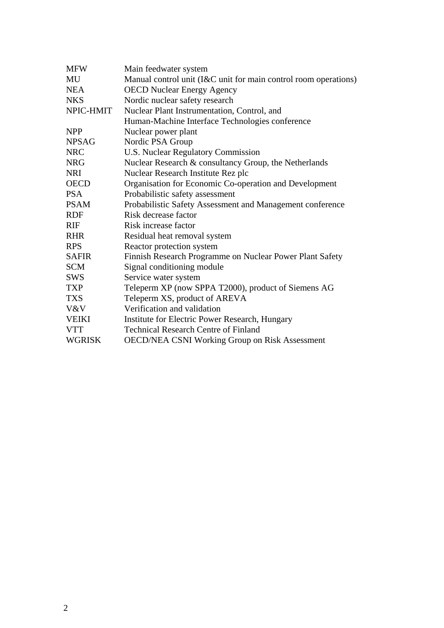| <b>MFW</b>    | Main feedwater system                                                |
|---------------|----------------------------------------------------------------------|
| MU            | Manual control unit ( $I & C$ unit for main control room operations) |
| <b>NEA</b>    | <b>OECD Nuclear Energy Agency</b>                                    |
| <b>NKS</b>    | Nordic nuclear safety research                                       |
| NPIC-HMIT     | Nuclear Plant Instrumentation, Control, and                          |
|               | Human-Machine Interface Technologies conference                      |
| <b>NPP</b>    | Nuclear power plant                                                  |
| <b>NPSAG</b>  | Nordic PSA Group                                                     |
| <b>NRC</b>    | U.S. Nuclear Regulatory Commission                                   |
| <b>NRG</b>    | Nuclear Research & consultancy Group, the Netherlands                |
| <b>NRI</b>    | Nuclear Research Institute Rez plc                                   |
| <b>OECD</b>   | Organisation for Economic Co-operation and Development               |
| <b>PSA</b>    | Probabilistic safety assessment                                      |
| <b>PSAM</b>   | Probabilistic Safety Assessment and Management conference            |
| <b>RDF</b>    | Risk decrease factor                                                 |
| <b>RIF</b>    | Risk increase factor                                                 |
| <b>RHR</b>    | Residual heat removal system                                         |
| <b>RPS</b>    | Reactor protection system                                            |
| <b>SAFIR</b>  | Finnish Research Programme on Nuclear Power Plant Safety             |
| <b>SCM</b>    | Signal conditioning module                                           |
| <b>SWS</b>    | Service water system                                                 |
| <b>TXP</b>    | Teleperm XP (now SPPA T2000), product of Siemens AG                  |
| <b>TXS</b>    | Teleperm XS, product of AREVA                                        |
| V&V           | Verification and validation                                          |
| <b>VEIKI</b>  | Institute for Electric Power Research, Hungary                       |
| <b>VTT</b>    | <b>Technical Research Centre of Finland</b>                          |
| <b>WGRISK</b> | <b>OECD/NEA CSNI Working Group on Risk Assessment</b>                |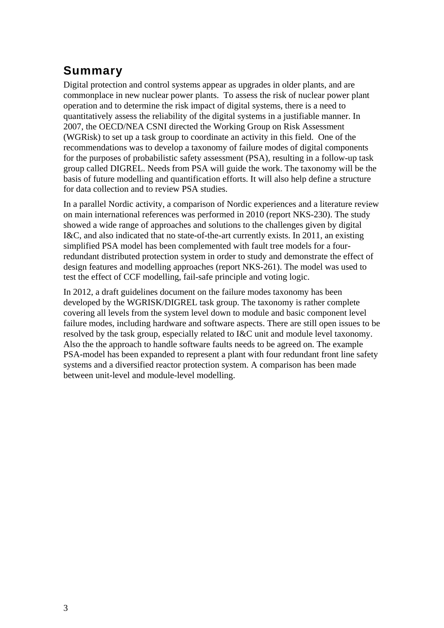### **Summary**

Digital protection and control systems appear as upgrades in older plants, and are commonplace in new nuclear power plants. To assess the risk of nuclear power plant operation and to determine the risk impact of digital systems, there is a need to quantitatively assess the reliability of the digital systems in a justifiable manner. In 2007, the OECD/NEA CSNI directed the Working Group on Risk Assessment (WGRisk) to set up a task group to coordinate an activity in this field. One of the recommendations was to develop a taxonomy of failure modes of digital components for the purposes of probabilistic safety assessment (PSA), resulting in a follow-up task group called DIGREL. Needs from PSA will guide the work. The taxonomy will be the basis of future modelling and quantification efforts. It will also help define a structure for data collection and to review PSA studies.

In a parallel Nordic activity, a comparison of Nordic experiences and a literature review on main international references was performed in 2010 (report NKS-230). The study showed a wide range of approaches and solutions to the challenges given by digital I&C, and also indicated that no state-of-the-art currently exists. In 2011, an existing simplified PSA model has been complemented with fault tree models for a fourredundant distributed protection system in order to study and demonstrate the effect of design features and modelling approaches (report NKS-261). The model was used to test the effect of CCF modelling, fail-safe principle and voting logic.

In 2012, a draft guidelines document on the failure modes taxonomy has been developed by the WGRISK/DIGREL task group. The taxonomy is rather complete covering all levels from the system level down to module and basic component level failure modes, including hardware and software aspects. There are still open issues to be resolved by the task group, especially related to I&C unit and module level taxonomy. Also the the approach to handle software faults needs to be agreed on. The example PSA-model has been expanded to represent a plant with four redundant front line safety systems and a diversified reactor protection system. A comparison has been made between unit-level and module-level modelling.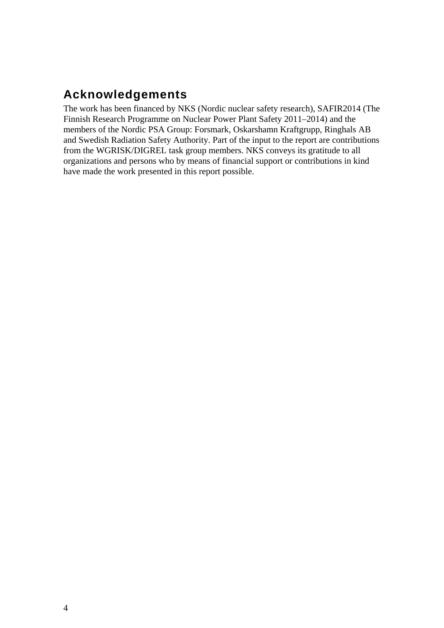### **Acknowledgements**

The work has been financed by NKS (Nordic nuclear safety research), SAFIR2014 (The Finnish Research Programme on Nuclear Power Plant Safety 2011–2014) and the members of the Nordic PSA Group: Forsmark, Oskarshamn Kraftgrupp, Ringhals AB and Swedish Radiation Safety Authority. Part of the input to the report are contributions from the WGRISK/DIGREL task group members. NKS conveys its gratitude to all organizations and persons who by means of financial support or contributions in kind have made the work presented in this report possible.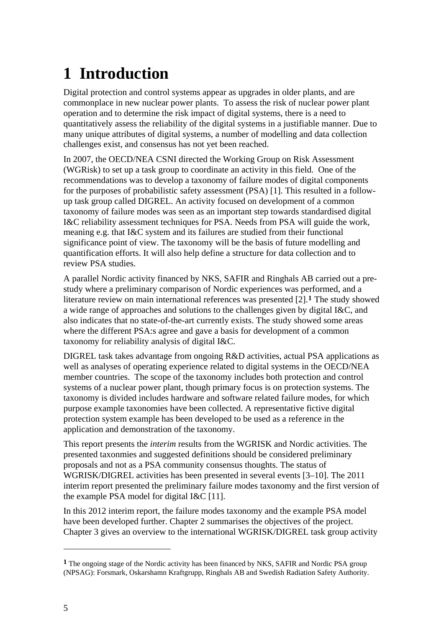# <span id="page-9-0"></span>**1 Introduction**

Digital protection and control systems appear as upgrades in older plants, and are commonplace in new nuclear power plants. To assess the risk of nuclear power plant operation and to determine the risk impact of digital systems, there is a need to quantitatively assess the reliability of the digital systems in a justifiable manner. Due to many unique attributes of digital systems, a number of modelling and data collection challenges exist, and consensus has not yet been reached.

In 2007, the OECD/NEA CSNI directed the Working Group on Risk Assessment (WGRisk) to set up a task group to coordinate an activity in this field. One of the recommendations was to develop a taxonomy of failure modes of digital components for the purposes of probabilistic safety assessment (PSA) [1]. This resulted in a followup task group called DIGREL. An activity focused on development of a common taxonomy of failure modes was seen as an important step towards standardised digital I&C reliability assessment techniques for PSA. Needs from PSA will guide the work, meaning e.g. that I&C system and its failures are studied from their functional significance point of view. The taxonomy will be the basis of future modelling and quantification efforts. It will also help define a structure for data collection and to review PSA studies.

A parallel Nordic activity financed by NKS, SAFIR and Ringhals AB carried out a prestudy where a preliminary comparison of Nordic experiences was performed, and a literature review on main international references was presented [2].**[1](#page-9-0)** The study showed a wide range of approaches and solutions to the challenges given by digital I&C, and also indicates that no state-of-the-art currently exists. The study showed some areas where the different PSA:s agree and gave a basis for development of a common taxonomy for reliability analysis of digital I&C.

DIGREL task takes advantage from ongoing R&D activities, actual PSA applications as well as analyses of operating experience related to digital systems in the OECD/NEA member countries. The scope of the taxonomy includes both protection and control systems of a nuclear power plant, though primary focus is on protection systems. The taxonomy is divided includes hardware and software related failure modes, for which purpose example taxonomies have been collected. A representative fictive digital protection system example has been developed to be used as a reference in the application and demonstration of the taxonomy.

This report presents the *interim* results from the WGRISK and Nordic activities. The presented taxonmies and suggested definitions should be considered preliminary proposals and not as a PSA community consensus thoughts. The status of WGRISK/DIGREL activities has been presented in several events [[3–](#page-42-1)[10\]](#page-42-2). The 2011 interim report presented the preliminary failure modes taxonomy and the first version of the example PSA model for digital I&C [\[11](#page-42-3)].

In this 2012 interim report, the failure modes taxonomy and the example PSA model have been developed further. Chapter 2 summarises the objectives of the project. Chapter 3 gives an overview to the international WGRISK/DIGREL task group activity

<u>.</u>

**<sup>1</sup>** The ongoing stage of the Nordic activity has been financed by NKS, SAFIR and Nordic PSA group (NPSAG): Forsmark, Oskarshamn Kraftgrupp, Ringhals AB and Swedish Radiation Safety Authority.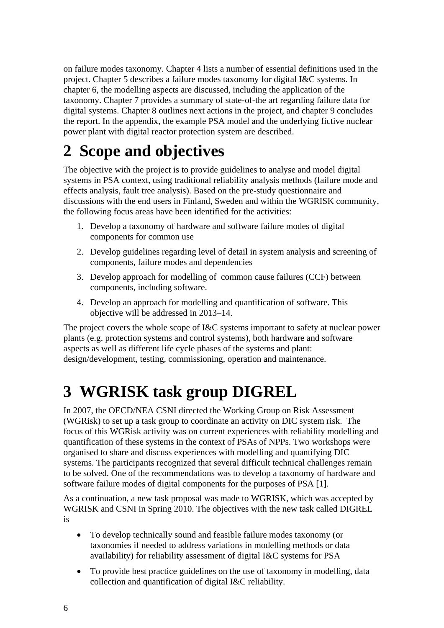<span id="page-10-0"></span>on failure modes taxonomy. Chapter 4 lists a number of essential definitions used in the project. Chapter 5 describes a failure modes taxonomy for digital I&C systems. In chapter 6, the modelling aspects are discussed, including the application of the taxonomy. Chapter 7 provides a summary of state-of-the art regarding failure data for digital systems. Chapter 8 outlines next actions in the project, and chapter 9 concludes the report. In the appendix, the example PSA model and the underlying fictive nuclear power plant with digital reactor protection system are described.

## **2 Scope and objectives**

The objective with the project is to provide guidelines to analyse and model digital systems in PSA context, using traditional reliability analysis methods (failure mode and effects analysis, fault tree analysis). Based on the pre-study questionnaire and discussions with the end users in Finland, Sweden and within the WGRISK community, the following focus areas have been identified for the activities:

- 1. Develop a taxonomy of hardware and software failure modes of digital components for common use
- 2. Develop guidelines regarding level of detail in system analysis and screening of components, failure modes and dependencies
- 3. Develop approach for modelling of common cause failures (CCF) between components, including software.
- 4. Develop an approach for modelling and quantification of software. This objective will be addressed in 2013–14.

The project covers the whole scope of I&C systems important to safety at nuclear power plants (e.g. protection systems and control systems), both hardware and software aspects as well as different life cycle phases of the systems and plant: design/development, testing, commissioning, operation and maintenance.

# **3 WGRISK task group DIGREL**

In 2007, the OECD/NEA CSNI directed the Working Group on Risk Assessment (WGRisk) to set up a task group to coordinate an activity on DIC system risk. The focus of this WGRisk activity was on current experiences with reliability modelling and quantification of these systems in the context of PSAs of NPPs. Two workshops were organised to share and discuss experiences with modelling and quantifying DIC systems. The participants recognized that several difficult technical challenges remain to be solved. One of the recommendations was to develop a taxonomy of hardware and software failure modes of digital components for the purposes of PSA [1].

As a continuation, a new task proposal was made to WGRISK, which was accepted by WGRISK and CSNI in Spring 2010. The objectives with the new task called DIGREL is

- To develop technically sound and feasible failure modes taxonomy (or taxonomies if needed to address variations in modelling methods or data availability) for reliability assessment of digital I&C systems for PSA
- To provide best practice guidelines on the use of taxonomy in modelling, data collection and quantification of digital I&C reliability.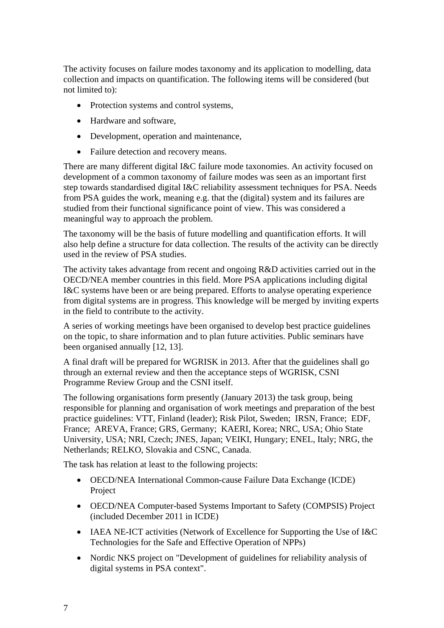The activity focuses on failure modes taxonomy and its application to modelling, data collection and impacts on quantification. The following items will be considered (but not limited to):

- Protection systems and control systems,
- Hardware and software.
- Development, operation and maintenance,
- Failure detection and recovery means.

There are many different digital I&C failure mode taxonomies. An activity focused on development of a common taxonomy of failure modes was seen as an important first step towards standardised digital I&C reliability assessment techniques for PSA. Needs from PSA guides the work, meaning e.g. that the (digital) system and its failures are studied from their functional significance point of view. This was considered a meaningful way to approach the problem.

The taxonomy will be the basis of future modelling and quantification efforts. It will also help define a structure for data collection. The results of the activity can be directly used in the review of PSA studies.

The activity takes advantage from recent and ongoing R&D activities carried out in the OECD/NEA member countries in this field. More PSA applications including digital I&C systems have been or are being prepared. Efforts to analyse operating experience from digital systems are in progress. This knowledge will be merged by inviting experts in the field to contribute to the activity.

A series of working meetings have been organised to develop best practice guidelines on the topic, to share information and to plan future activities. Public seminars have been organised annually [[12,](#page-43-0) [13\]](#page-43-1).

A final draft will be prepared for WGRISK in 2013. After that the guidelines shall go through an external review and then the acceptance steps of WGRISK, CSNI Programme Review Group and the CSNI itself.

The following organisations form presently (January 2013) the task group, being responsible for planning and organisation of work meetings and preparation of the best practice guidelines: VTT, Finland (leader); Risk Pilot, Sweden; IRSN, France; EDF, France; AREVA, France; GRS, Germany; KAERI, Korea; NRC, USA; Ohio State University, USA; NRI, Czech; JNES, Japan; VEIKI, Hungary; ENEL, Italy; NRG, the Netherlands; RELKO, Slovakia and CSNC, Canada.

The task has relation at least to the following projects:

- OECD/NEA International Common-cause Failure Data Exchange (ICDE) Project
- OECD/NEA Computer-based Systems Important to Safety (COMPSIS) Project (included December 2011 in ICDE)
- IAEA NE-ICT activities (Network of Excellence for Supporting the Use of I&C Technologies for the Safe and Effective Operation of NPPs)
- Nordic NKS project on "Development of guidelines for reliability analysis of digital systems in PSA context".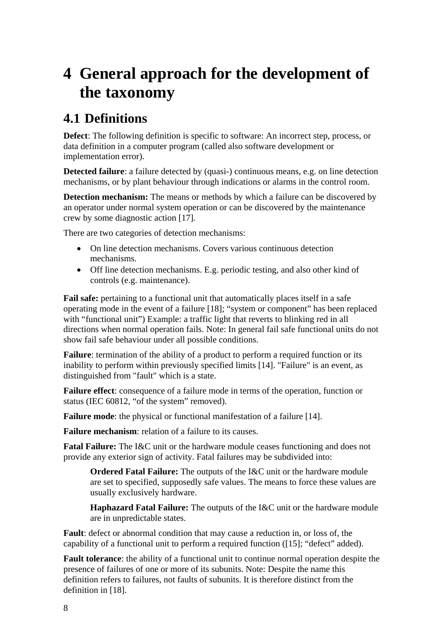## <span id="page-12-0"></span>**4 General approach for the development of the taxonomy**

### **4.1 Definitions**

**Defect**: The following definition is specific to software: An incorrect step, process, or data definition in a computer program (called also software development or implementation error).

**Detected failure**: a failure detected by (quasi-) continuous means, e.g. on line detection mechanisms, or by plant behaviour through indications or alarms in the control room.

**Detection mechanism:** The means or methods by which a failure can be discovered by an operator under normal system operation or can be discovered by the maintenance crew by some diagnostic action [\[17](#page-43-2)].

There are two categories of detection mechanisms:

- On line detection mechanisms. Covers various continuous detection mechanisms.
- Off line detection mechanisms. E.g. periodic testing, and also other kind of controls (e.g. maintenance).

**Fail safe:** pertaining to a functional unit that automatically places itself in a safe operating mode in the event of a failure [[18\]](#page-43-3); "system or component" has been replaced with "functional unit") Example: a traffic light that reverts to blinking red in all directions when normal operation fails. Note: In general fail safe functional units do not show fail safe behaviour under all possible conditions.

**Failure**: termination of the ability of a product to perform a required function or its inability to perform within previously specified limits [\[14](#page-43-4)]. "Failure" is an event, as distinguished from "fault" which is a state.

**Failure effect**: consequence of a failure mode in terms of the operation, function or status (IEC 60812, "of the system" removed).

**Failure mode**: the physical or functional manifestation of a failure [\[14](#page-43-4)].

**Failure mechanism**: relation of a failure to its causes.

**Fatal Failure:** The I&C unit or the hardware module ceases functioning and does not provide any exterior sign of activity. Fatal failures may be subdivided into:

**Ordered Fatal Failure:** The outputs of the I&C unit or the hardware module are set to specified, supposedly safe values. The means to force these values are usually exclusively hardware.

**Haphazard Fatal Failure:** The outputs of the I&C unit or the hardware module are in unpredictable states.

**Fault**: defect or abnormal condition that may cause a reduction in, or loss of, the capability of a functional unit to perform a required function ([[15\]](#page-43-5); "defect" added).

**Fault tolerance**: the ability of a functional unit to continue normal operation despite the presence of failures of one or more of its subunits. Note: Despite the name this definition refers to failures, not faults of subunits. It is therefore distinct from the definition in [\[18](#page-43-3)].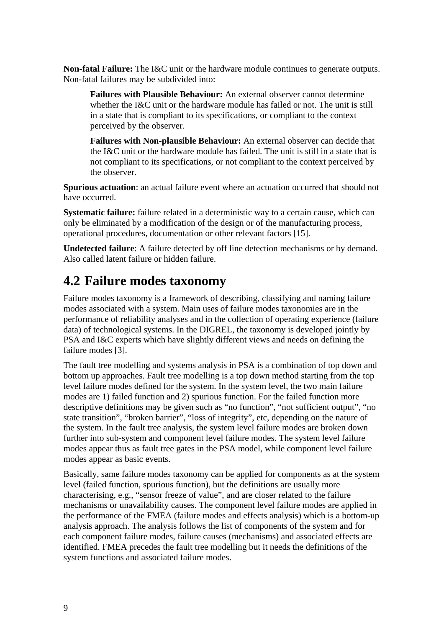<span id="page-13-0"></span>**Non-fatal Failure:** The I&C unit or the hardware module continues to generate outputs. Non-fatal failures may be subdivided into:

**Failures with Plausible Behaviour:** An external observer cannot determine whether the I&C unit or the hardware module has failed or not. The unit is still in a state that is compliant to its specifications, or compliant to the context perceived by the observer.

**Failures with Non-plausible Behaviour:** An external observer can decide that the I&C unit or the hardware module has failed. The unit is still in a state that is not compliant to its specifications, or not compliant to the context perceived by the observer.

**Spurious actuation**: an actual failure event where an actuation occurred that should not have occurred.

**Systematic failure:** failure related in a deterministic way to a certain cause, which can only be eliminated by a modification of the design or of the manufacturing process, operational procedures, documentation or other relevant factors [\[15](#page-43-5)].

**Undetected failure**: A failure detected by off line detection mechanisms or by demand. Also called latent failure or hidden failure.

### **4.2 Failure modes taxonomy**

Failure modes taxonomy is a framework of describing, classifying and naming failure modes associated with a system. Main uses of failure modes taxonomies are in the performance of reliability analyses and in the collection of operating experience (failure data) of technological systems. In the DIGREL, the taxonomy is developed jointly by PSA and I&C experts which have slightly different views and needs on defining the failure modes [[3\]](#page-42-1).

The fault tree modelling and systems analysis in PSA is a combination of top down and bottom up approaches. Fault tree modelling is a top down method starting from the top level failure modes defined for the system. In the system level, the two main failure modes are 1) failed function and 2) spurious function. For the failed function more descriptive definitions may be given such as "no function", "not sufficient output", "no state transition", "broken barrier", "loss of integrity", etc, depending on the nature of the system. In the fault tree analysis, the system level failure modes are broken down further into sub-system and component level failure modes. The system level failure modes appear thus as fault tree gates in the PSA model, while component level failure modes appear as basic events.

Basically, same failure modes taxonomy can be applied for components as at the system level (failed function, spurious function), but the definitions are usually more characterising, e.g., "sensor freeze of value", and are closer related to the failure mechanisms or unavailability causes. The component level failure modes are applied in the performance of the FMEA (failure modes and effects analysis) which is a bottom-up analysis approach. The analysis follows the list of components of the system and for each component failure modes, failure causes (mechanisms) and associated effects are identified. FMEA precedes the fault tree modelling but it needs the definitions of the system functions and associated failure modes.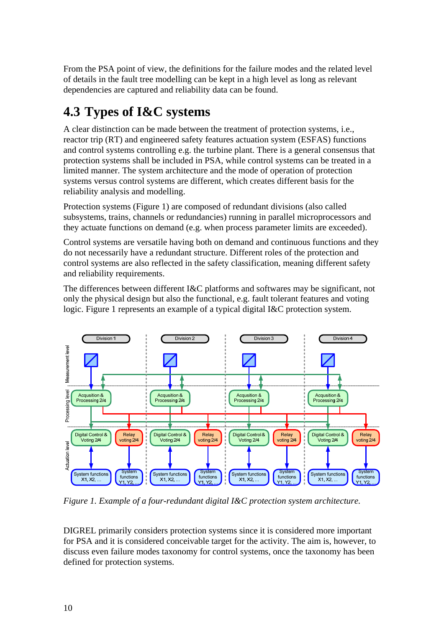<span id="page-14-0"></span>From the PSA point of view, the definitions for the failure modes and the related level of details in the fault tree modelling can be kept in a high level as long as relevant dependencies are captured and reliability data can be found.

### **4.3 Types of I&C systems**

A clear distinction can be made between the treatment of protection systems, i.e., reactor trip (RT) and engineered safety features actuation system (ESFAS) functions and control systems controlling e.g. the turbine plant. There is a general consensus that protection systems shall be included in PSA, while control systems can be treated in a limited manner. The system architecture and the mode of operation of protection systems versus control systems are different, which creates different basis for the reliability analysis and modelling.

Protection systems ([Figure 1\)](#page-14-1) are composed of redundant divisions (also called subsystems, trains, channels or redundancies) running in parallel microprocessors and they actuate functions on demand (e.g. when process parameter limits are exceeded).

Control systems are versatile having both on demand and continuous functions and they do not necessarily have a redundant structure. Different roles of the protection and control systems are also reflected in the safety classification, meaning different safety and reliability requirements.

The differences between different I&C platforms and softwares may be significant, not only the physical design but also the functional, e.g. fault tolerant features and voting logic. [Figure 1](#page-14-1) represents an example of a typical digital I&C protection system.



<span id="page-14-1"></span>*Figure 1. Example of a four-redundant digital I&C protection system architecture.* 

DIGREL primarily considers protection systems since it is considered more important for PSA and it is considered conceivable target for the activity. The aim is, however, to discuss even failure modes taxonomy for control systems, once the taxonomy has been defined for protection systems.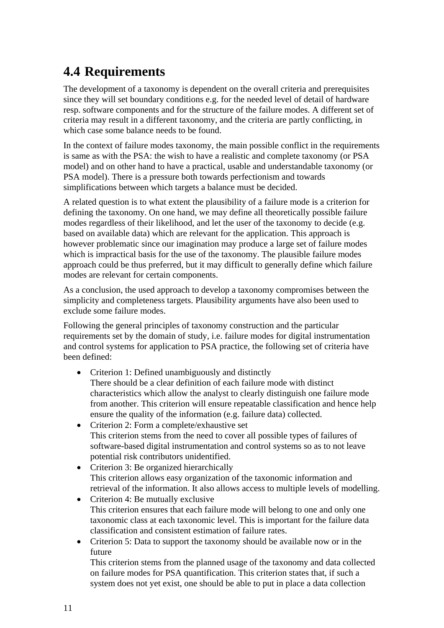### <span id="page-15-0"></span>**4.4 Requirements**

The development of a taxonomy is dependent on the overall criteria and prerequisites since they will set boundary conditions e.g. for the needed level of detail of hardware resp. software components and for the structure of the failure modes. A different set of criteria may result in a different taxonomy, and the criteria are partly conflicting, in which case some balance needs to be found.

In the context of failure modes taxonomy, the main possible conflict in the requirements is same as with the PSA: the wish to have a realistic and complete taxonomy (or PSA model) and on other hand to have a practical, usable and understandable taxonomy (or PSA model). There is a pressure both towards perfectionism and towards simplifications between which targets a balance must be decided.

A related question is to what extent the plausibility of a failure mode is a criterion for defining the taxonomy. On one hand, we may define all theoretically possible failure modes regardless of their likelihood, and let the user of the taxonomy to decide (e.g. based on available data) which are relevant for the application. This approach is however problematic since our imagination may produce a large set of failure modes which is impractical basis for the use of the taxonomy. The plausible failure modes approach could be thus preferred, but it may difficult to generally define which failure modes are relevant for certain components.

As a conclusion, the used approach to develop a taxonomy compromises between the simplicity and completeness targets. Plausibility arguments have also been used to exclude some failure modes.

Following the general principles of taxonomy construction and the particular requirements set by the domain of study, i.e. failure modes for digital instrumentation and control systems for application to PSA practice, the following set of criteria have been defined:

- Criterion 1: Defined unambiguously and distinctly There should be a clear definition of each failure mode with distinct characteristics which allow the analyst to clearly distinguish one failure mode from another. This criterion will ensure repeatable classification and hence help ensure the quality of the information (e.g. failure data) collected.
- Criterion 2: Form a complete/exhaustive set This criterion stems from the need to cover all possible types of failures of software-based digital instrumentation and control systems so as to not leave potential risk contributors unidentified.
- Criterion 3: Be organized hierarchically This criterion allows easy organization of the taxonomic information and retrieval of the information. It also allows access to multiple levels of modelling.
- Criterion 4: Be mutually exclusive This criterion ensures that each failure mode will belong to one and only one taxonomic class at each taxonomic level. This is important for the failure data classification and consistent estimation of failure rates.
- Criterion 5: Data to support the taxonomy should be available now or in the future

This criterion stems from the planned usage of the taxonomy and data collected on failure modes for PSA quantification. This criterion states that, if such a system does not yet exist, one should be able to put in place a data collection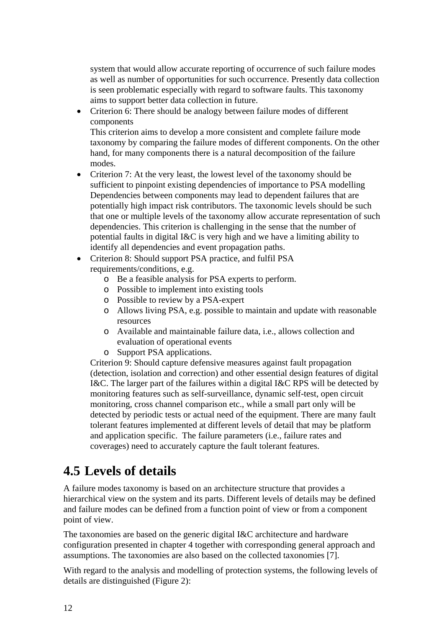<span id="page-16-0"></span>system that would allow accurate reporting of occurrence of such failure modes as well as number of opportunities for such occurrence. Presently data collection is seen problematic especially with regard to software faults. This taxonomy aims to support better data collection in future.

• Criterion 6: There should be analogy between failure modes of different components

This criterion aims to develop a more consistent and complete failure mode taxonomy by comparing the failure modes of different components. On the other hand, for many components there is a natural decomposition of the failure modes.

- Criterion 7: At the very least, the lowest level of the taxonomy should be sufficient to pinpoint existing dependencies of importance to PSA modelling Dependencies between components may lead to dependent failures that are potentially high impact risk contributors. The taxonomic levels should be such that one or multiple levels of the taxonomy allow accurate representation of such dependencies. This criterion is challenging in the sense that the number of potential faults in digital I&C is very high and we have a limiting ability to identify all dependencies and event propagation paths.
- Criterion 8: Should support PSA practice, and fulfil PSA requirements/conditions, e.g.
	- o Be a feasible analysis for PSA experts to perform.
	- o Possible to implement into existing tools
	- o Possible to review by a PSA-expert
	- o Allows living PSA, e.g. possible to maintain and update with reasonable resources
	- o Available and maintainable failure data, i.e., allows collection and evaluation of operational events
	- o Support PSA applications.

Criterion 9: Should capture defensive measures against fault propagation (detection, isolation and correction) and other essential design features of digital I&C. The larger part of the failures within a digital I&C RPS will be detected by monitoring features such as self-surveillance, dynamic self-test, open circuit monitoring, cross channel comparison etc., while a small part only will be detected by periodic tests or actual need of the equipment. There are many fault tolerant features implemented at different levels of detail that may be platform and application specific. The failure parameters (i.e., failure rates and coverages) need to accurately capture the fault tolerant features.

### **4.5 Levels of details**

A failure modes taxonomy is based on an architecture structure that provides a hierarchical view on the system and its parts. Different levels of details may be defined and failure modes can be defined from a function point of view or from a component point of view.

The taxonomies are based on the generic digital I&C architecture and hardware configuration presented in chapter 4 together with corresponding general approach and assumptions. The taxonomies are also based on the collected taxonomies [\[7](#page-42-4)].

With regard to the analysis and modelling of protection systems, the following levels of details are distinguished [\(Figure 2\)](#page-18-1):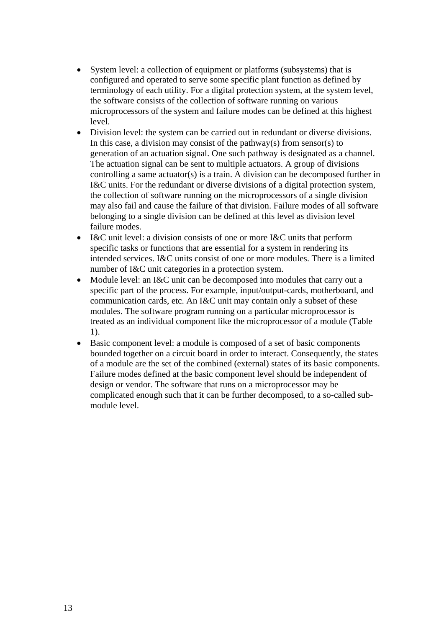- System level: a collection of equipment or platforms (subsystems) that is configured and operated to serve some specific plant function as defined by terminology of each utility. For a digital protection system, at the system level, the software consists of the collection of software running on various microprocessors of the system and failure modes can be defined at this highest level.
- Division level: the system can be carried out in redundant or diverse divisions. In this case, a division may consist of the pathway(s) from sensor(s) to generation of an actuation signal. One such pathway is designated as a channel. The actuation signal can be sent to multiple actuators. A group of divisions controlling a same actuator(s) is a train. A division can be decomposed further in I&C units. For the redundant or diverse divisions of a digital protection system, the collection of software running on the microprocessors of a single division may also fail and cause the failure of that division. Failure modes of all software belonging to a single division can be defined at this level as division level failure modes.
- I&C unit level: a division consists of one or more I&C units that perform specific tasks or functions that are essential for a system in rendering its intended services. I&C units consist of one or more modules. There is a limited number of I&C unit categories in a protection system.
- Module level: an I&C unit can be decomposed into modules that carry out a specific part of the process. For example, input/output-cards, motherboard, and communication cards, etc. An I&C unit may contain only a subset of these modules. The software program running on a particular microprocessor is treated as an individual component like the microprocessor of a module [\(Table](#page-18-2)  [1](#page-18-2)).
- Basic component level: a module is composed of a set of basic components bounded together on a circuit board in order to interact. Consequently, the states of a module are the set of the combined (external) states of its basic components. Failure modes defined at the basic component level should be independent of design or vendor. The software that runs on a microprocessor may be complicated enough such that it can be further decomposed, to a so-called submodule level.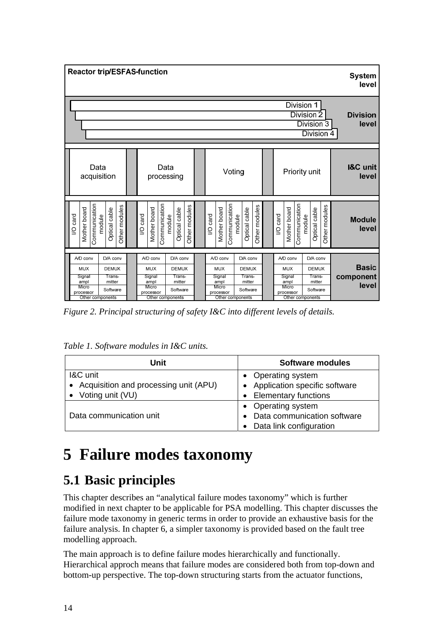<span id="page-18-0"></span>

| <b>Reactor trip/ESFAS-function</b>                                                                                                             |              |               |        |               |                                                                |                  |                                                          |              |                         |               |                                                                                    |  | <b>System</b>          | level                                                    |               |        |                                                                |                  |                        |                                                          |               |           |                       |               |               |       |
|------------------------------------------------------------------------------------------------------------------------------------------------|--------------|---------------|--------|---------------|----------------------------------------------------------------|------------------|----------------------------------------------------------|--------------|-------------------------|---------------|------------------------------------------------------------------------------------|--|------------------------|----------------------------------------------------------|---------------|--------|----------------------------------------------------------------|------------------|------------------------|----------------------------------------------------------|---------------|-----------|-----------------------|---------------|---------------|-------|
| Division 1<br>Division <sub>2</sub><br>Division 3<br>Division 4                                                                                |              |               |        |               |                                                                |                  |                                                          |              |                         |               |                                                                                    |  |                        | <b>Division</b>                                          | level         |        |                                                                |                  |                        |                                                          |               |           |                       |               |               |       |
| Data<br>acquisition                                                                                                                            |              |               |        |               |                                                                |                  | Data<br>processing                                       |              |                         |               |                                                                                    |  | Voting                 |                                                          |               |        |                                                                |                  | Priority unit          |                                                          |               |           | <b>I&amp;C</b> unit   | level         |               |       |
| I/O card                                                                                                                                       | Mother board | Communication | module | Optical cable | Other modules                                                  |                  | I/O card                                                 | Mother board | Communication<br>module | Optical cable | Other modules                                                                      |  | card<br>$\overline{Q}$ | Mother board                                             | Communication | module | Optical cable                                                  | Other modules    | card<br>$\overline{Q}$ | Mother board                                             | Communication | module    | Optical cable         | Other modules | <b>Module</b> | level |
| A/D conv<br>D/A conv<br><b>MUX</b><br><b>DEMUX</b><br>Trans-<br>Signal<br>mitter<br>ampl<br>Micro<br>Software<br>processor<br>Other components |              |               |        |               | A/D conv<br><b>MUX</b><br>Signal<br>ampl<br>Micro<br>processor | Other components | D/A conv<br><b>DEMUX</b><br>Trans-<br>mitter<br>Software |              |                         |               | A/D conv<br><b>MUX</b><br>Signal<br>ampl<br>Micro<br>processor<br>Other components |  |                        | D/A conv<br><b>DEMUX</b><br>Trans-<br>mitter<br>Software |               |        | A/D conv<br><b>MUX</b><br>Signal<br>ampl<br>Micro<br>processor | Other components |                        | D/A conv<br><b>DEMUX</b><br>Trans-<br>mitter<br>Software |               | component | <b>Basic</b><br>level |               |               |       |

<span id="page-18-1"></span>*Figure 2. Principal structuring of safety I&C into different levels of details.* 

<span id="page-18-2"></span>*Table 1. Software modules in I&C units.* 

| Unit                                    | <b>Software modules</b>         |
|-----------------------------------------|---------------------------------|
| 1&C unit                                | <b>Operating system</b>         |
| • Acquisition and processing unit (APU) | • Application specific software |
| Voting unit (VU)                        | • Elementary functions          |
|                                         | Operating system                |
| Data communication unit                 | Data communication software     |
|                                         | Data link configuration         |

## **5 Failure modes taxonomy**

### **5.1 Basic principles**

This chapter describes an "analytical failure modes taxonomy" which is further modified in next chapter to be applicable for PSA modelling. This chapter discusses the failure mode taxonomy in generic terms in order to provide an exhaustive basis for the failure analysis. In chapter 6, a simpler taxonomy is provided based on the fault tree modelling approach.

The main approach is to define failure modes hierarchically and functionally. Hierarchical approch means that failure modes are considered both from top-down and bottom-up perspective. The top-down structuring starts from the actuator functions,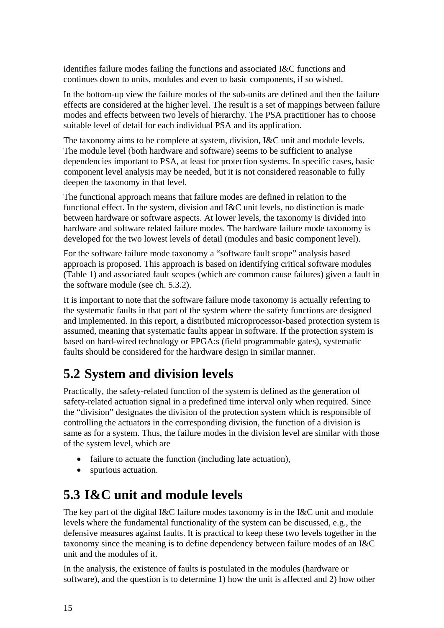<span id="page-19-0"></span>identifies failure modes failing the functions and associated I&C functions and continues down to units, modules and even to basic components, if so wished.

In the bottom-up view the failure modes of the sub-units are defined and then the failure effects are considered at the higher level. The result is a set of mappings between failure modes and effects between two levels of hierarchy. The PSA practitioner has to choose suitable level of detail for each individual PSA and its application.

The taxonomy aims to be complete at system, division, I&C unit and module levels. The module level (both hardware and software) seems to be sufficient to analyse dependencies important to PSA, at least for protection systems. In specific cases, basic component level analysis may be needed, but it is not considered reasonable to fully deepen the taxonomy in that level.

The functional approach means that failure modes are defined in relation to the functional effect. In the system, division and I&C unit levels, no distinction is made between hardware or software aspects. At lower levels, the taxonomy is divided into hardware and software related failure modes. The hardware failure mode taxonomy is developed for the two lowest levels of detail (modules and basic component level).

For the software failure mode taxonomy a "software fault scope" analysis based approach is proposed. This approach is based on identifying critical software modules [\(Table 1](#page-18-2)) and associated fault scopes (which are common cause failures) given a fault in the software module (see ch. [5.3.2\)](#page-23-1).

It is important to note that the software failure mode taxonomy is actually referring to the systematic faults in that part of the system where the safety functions are designed and implemented. In this report, a distributed microprocessor-based protection system is assumed, meaning that systematic faults appear in software. If the protection system is based on hard-wired technology or FPGA:s (field programmable gates), systematic faults should be considered for the hardware design in similar manner.

### **5.2 System and division levels**

Practically, the safety-related function of the system is defined as the generation of safety-related actuation signal in a predefined time interval only when required. Since the "division" designates the division of the protection system which is responsible of controlling the actuators in the corresponding division, the function of a division is same as for a system. Thus, the failure modes in the division level are similar with those of the system level, which are

- failure to actuate the function (including late actuation),
- spurious actuation.

### **5.3 I&C unit and module levels**

The key part of the digital I&C failure modes taxonomy is in the I&C unit and module levels where the fundamental functionality of the system can be discussed, e.g., the defensive measures against faults. It is practical to keep these two levels together in the taxonomy since the meaning is to define dependency between failure modes of an I&C unit and the modules of it.

In the analysis, the existence of faults is postulated in the modules (hardware or software), and the question is to determine 1) how the unit is affected and 2) how other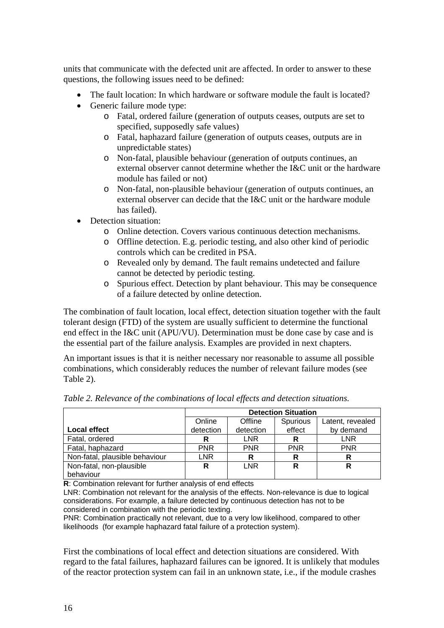<span id="page-20-0"></span>units that communicate with the defected unit are affected. In order to answer to these questions, the following issues need to be defined:

- The fault location: In which hardware or software module the fault is located?
- Generic failure mode type:
	- o Fatal, ordered failure (generation of outputs ceases, outputs are set to specified, supposedly safe values)
	- o Fatal, haphazard failure (generation of outputs ceases, outputs are in unpredictable states)
	- o Non-fatal, plausible behaviour (generation of outputs continues, an external observer cannot determine whether the I&C unit or the hardware module has failed or not)
	- o Non-fatal, non-plausible behaviour (generation of outputs continues, an external observer can decide that the I&C unit or the hardware module has failed).
- Detection situation:
	- o Online detection. Covers various continuous detection mechanisms.
	- o Offline detection. E.g. periodic testing, and also other kind of periodic controls which can be credited in PSA.
	- o Revealed only by demand. The fault remains undetected and failure cannot be detected by periodic testing.
	- o Spurious effect. Detection by plant behaviour. This may be consequence of a failure detected by online detection.

The combination of fault location, local effect, detection situation together with the fault tolerant design (FTD) of the system are usually sufficient to determine the functional end effect in the I&C unit (APU/VU). Determination must be done case by case and is the essential part of the failure analysis. Examples are provided in next chapters.

An important issues is that it is neither necessary nor reasonable to assume all possible combinations, which considerably reduces the number of relevant failure modes (see [Table 2](#page-20-1)).

|                                | <b>Detection Situation</b> |            |            |                  |  |  |  |  |
|--------------------------------|----------------------------|------------|------------|------------------|--|--|--|--|
|                                | Online                     | Offline    | Spurious   | Latent, revealed |  |  |  |  |
| Local effect                   | detection                  | detection  | effect     | by demand        |  |  |  |  |
| Fatal, ordered                 | R                          | <b>LNR</b> | R          | <b>LNR</b>       |  |  |  |  |
| Fatal, haphazard               | <b>PNR</b>                 | <b>PNR</b> | <b>PNR</b> | <b>PNR</b>       |  |  |  |  |
| Non-fatal, plausible behaviour | LNR                        | R          | R          | R                |  |  |  |  |
| Non-fatal, non-plausible       | R                          | <b>LNR</b> | R          | R                |  |  |  |  |
| behaviour                      |                            |            |            |                  |  |  |  |  |

<span id="page-20-1"></span>*Table 2. Relevance of the combinations of local effects and detection situations.* 

**R**: Combination relevant for further analysis of end effects

LNR: Combination not relevant for the analysis of the effects. Non-relevance is due to logical considerations. For example, a failure detected by continuous detection has not to be considered in combination with the periodic texting.

PNR: Combination practically not relevant, due to a very low likelihood, compared to other likelihoods (for example haphazard fatal failure of a protection system).

First the combinations of local effect and detection situations are considered. With regard to the fatal failures, haphazard failures can be ignored. It is unlikely that modules of the reactor protection system can fail in an unknown state, i.e., if the module crashes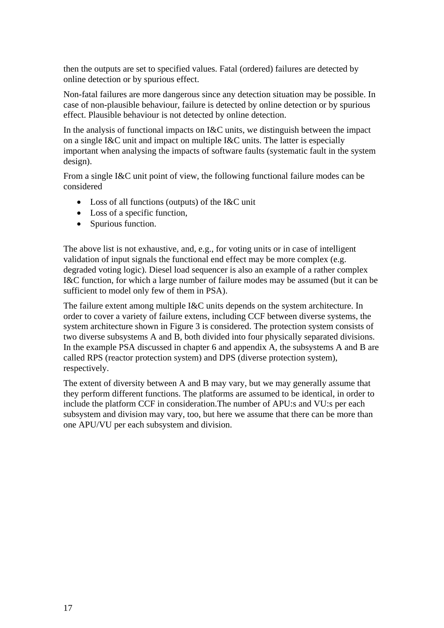then the outputs are set to specified values. Fatal (ordered) failures are detected by online detection or by spurious effect.

Non-fatal failures are more dangerous since any detection situation may be possible. In case of non-plausible behaviour, failure is detected by online detection or by spurious effect. Plausible behaviour is not detected by online detection.

In the analysis of functional impacts on I&C units, we distinguish between the impact on a single I&C unit and impact on multiple I&C units. The latter is especially important when analysing the impacts of software faults (systematic fault in the system design).

From a single I&C unit point of view, the following functional failure modes can be considered

- Loss of all functions (outputs) of the I&C unit
- Loss of a specific function,
- Spurious function.

The above list is not exhaustive, and, e.g., for voting units or in case of intelligent validation of input signals the functional end effect may be more complex (e.g. degraded voting logic). Diesel load sequencer is also an example of a rather complex I&C function, for which a large number of failure modes may be assumed (but it can be sufficient to model only few of them in PSA).

The failure extent among multiple I&C units depends on the system architecture. In order to cover a variety of failure extens, including CCF between diverse systems, the system architecture shown in [Figure 3](#page-22-1) is considered. The protection system consists of two diverse subsystems A and B, both divided into four physically separated divisions. In the example PSA discussed in chapter 6 and appendix A, the subsystems A and B are called RPS (reactor protection system) and DPS (diverse protection system), respectively.

The extent of diversity between A and B may vary, but we may generally assume that they perform different functions. The platforms are assumed to be identical, in order to include the platform CCF in consideration.The number of APU:s and VU:s per each subsystem and division may vary, too, but here we assume that there can be more than one APU/VU per each subsystem and division.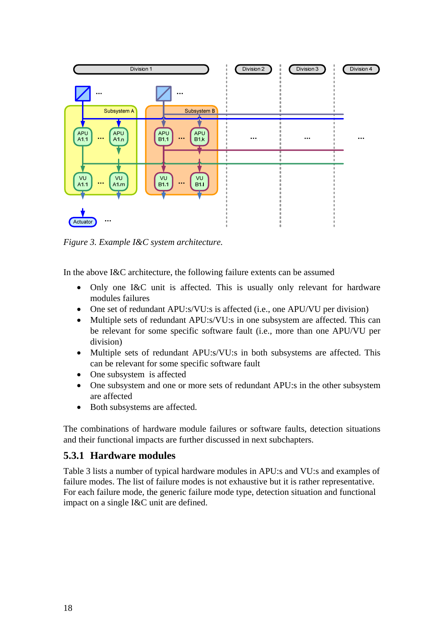<span id="page-22-0"></span>

<span id="page-22-1"></span>*Figure 3. Example I&C system architecture.* 

In the above I&C architecture, the following failure extents can be assumed

- Only one I&C unit is affected. This is usually only relevant for hardware modules failures
- One set of redundant APU:s/VU:s is affected (i.e., one APU/VU per division)
- Multiple sets of redundant APU:s/VU:s in one subsystem are affected. This can be relevant for some specific software fault (i.e., more than one APU/VU per division)
- Multiple sets of redundant APU:s/VU:s in both subsystems are affected. This can be relevant for some specific software fault
- One subsystem is affected
- One subsystem and one or more sets of redundant APU:s in the other subsystem are affected
- Both subsystems are affected.

The combinations of hardware module failures or software faults, detection situations and their functional impacts are further discussed in next subchapters.

#### **5.3.1 Hardware modules**

[Table 3](#page-23-2) lists a number of typical hardware modules in APU:s and VU:s and examples of failure modes. The list of failure modes is not exhaustive but it is rather representative. For each failure mode, the generic failure mode type, detection situation and functional impact on a single I&C unit are defined.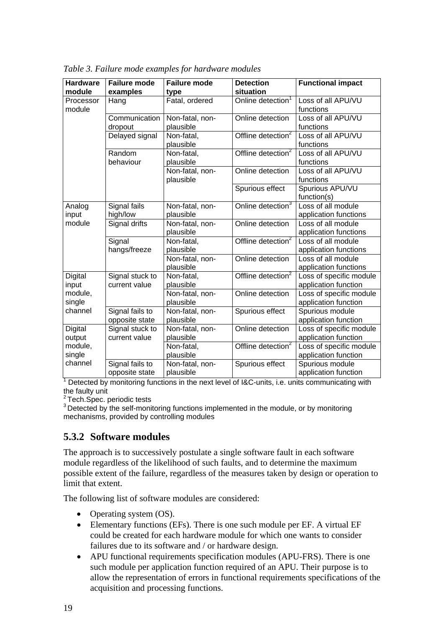| <b>Hardware</b><br>module | <b>Failure mode</b><br>examples   | <b>Failure mode</b><br>type  | <b>Detection</b><br>situation  | <b>Functional impact</b>                        |
|---------------------------|-----------------------------------|------------------------------|--------------------------------|-------------------------------------------------|
| Processor<br>module       | Hang                              | Fatal, ordered               | Online detection <sup>1</sup>  | Loss of all APU/VU<br>functions                 |
|                           | Communication<br>dropout          | Non-fatal, non-<br>plausible | Online detection               | Loss of all APU/VU<br>functions                 |
|                           | Delayed signal                    | Non-fatal,<br>plausible      | Offline detection <sup>2</sup> | Loss of all APU/VU<br>functions                 |
|                           | Random<br>behaviour               | Non-fatal,<br>plausible      | Offline detection <sup>2</sup> | Loss of all APU/VU<br>functions                 |
|                           |                                   | Non-fatal, non-<br>plausible | Online detection               | Loss of all APU/VU<br>functions                 |
|                           |                                   |                              | Spurious effect                | Spurious APU/VU<br>function(s)                  |
| Analog<br>input           | Signal fails<br>high/low          | Non-fatal, non-<br>plausible | Online detection <sup>3</sup>  | Loss of all module<br>application functions     |
| module                    | Signal drifts                     | Non-fatal, non-<br>plausible | Online detection               | Loss of all module<br>application functions     |
|                           | Signal<br>hangs/freeze            | Non-fatal,<br>plausible      | Offline detection <sup>2</sup> | Loss of all module<br>application functions     |
|                           |                                   | Non-fatal, non-<br>plausible | Online detection               | Loss of all module<br>application functions     |
| Digital<br>input          | Signal stuck to<br>current value  | Non-fatal,<br>plausible      | Offline detection <sup>2</sup> | Loss of specific module<br>application function |
| module,<br>single         |                                   | Non-fatal, non-<br>plausible | Online detection               | Loss of specific module<br>application function |
| channel                   | Signal fails to<br>opposite state | Non-fatal, non-<br>plausible | Spurious effect                | Spurious module<br>application function         |
| Digital<br>output         | Signal stuck to<br>current value  | Non-fatal, non-<br>plausible | Online detection               | Loss of specific module<br>application function |
| module,<br>single         |                                   | Non-fatal,<br>plausible      | Offline detection <sup>2</sup> | Loss of specific module<br>application function |
| channel                   | Signal fails to<br>opposite state | Non-fatal, non-<br>plausible | Spurious effect                | Spurious module<br>application function         |

<span id="page-23-2"></span><span id="page-23-0"></span>*Table 3. Failure mode examples for hardware modules* 

<sup>1</sup> Detected by monitoring functions in the next level of I&C-units, i.e. units communicating with the faulty unit

<sup>2</sup> Tech.Spec. periodic tests

<sup>3</sup> Detected by the self-monitoring functions implemented in the module, or by monitoring mechanisms, provided by controlling modules

#### <span id="page-23-1"></span>**5.3.2 Software modules**

The approach is to successively postulate a single software fault in each software module regardless of the likelihood of such faults, and to determine the maximum possible extent of the failure, regardless of the measures taken by design or operation to limit that extent.

The following list of software modules are considered:

- Operating system (OS).
- Elementary functions (EFs). There is one such module per EF. A virtual EF could be created for each hardware module for which one wants to consider failures due to its software and / or hardware design.
- APU functional requirements specification modules (APU-FRS). There is one such module per application function required of an APU. Their purpose is to allow the representation of errors in functional requirements specifications of the acquisition and processing functions.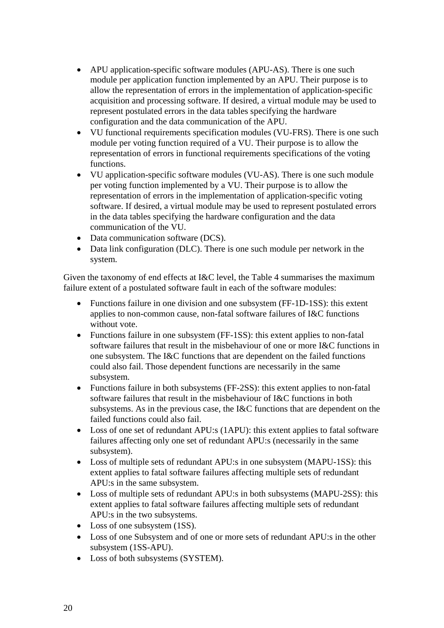- APU application-specific software modules (APU-AS). There is one such module per application function implemented by an APU. Their purpose is to allow the representation of errors in the implementation of application-specific acquisition and processing software. If desired, a virtual module may be used to represent postulated errors in the data tables specifying the hardware configuration and the data communication of the APU.
- VU functional requirements specification modules (VU-FRS). There is one such module per voting function required of a VU. Their purpose is to allow the representation of errors in functional requirements specifications of the voting functions.
- VU application-specific software modules (VU-AS). There is one such module per voting function implemented by a VU. Their purpose is to allow the representation of errors in the implementation of application-specific voting software. If desired, a virtual module may be used to represent postulated errors in the data tables specifying the hardware configuration and the data communication of the VU.
- Data communication software (DCS).
- Data link configuration (DLC). There is one such module per network in the system.

Given the taxonomy of end effects at I&C level, the [Table 4](#page-25-1) summarises the maximum failure extent of a postulated software fault in each of the software modules:

- Functions failure in one division and one subsystem (FF-1D-1SS): this extent applies to non-common cause, non-fatal software failures of I&C functions without vote.
- Functions failure in one subsystem (FF-1SS): this extent applies to non-fatal software failures that result in the misbehaviour of one or more I&C functions in one subsystem. The I&C functions that are dependent on the failed functions could also fail. Those dependent functions are necessarily in the same subsystem.
- Functions failure in both subsystems (FF-2SS): this extent applies to non-fatal software failures that result in the misbehaviour of I&C functions in both subsystems. As in the previous case, the I&C functions that are dependent on the failed functions could also fail.
- Loss of one set of redundant APU:s (1APU): this extent applies to fatal software failures affecting only one set of redundant APU:s (necessarily in the same subsystem).
- Loss of multiple sets of redundant APU:s in one subsystem (MAPU-1SS): this extent applies to fatal software failures affecting multiple sets of redundant APU:s in the same subsystem.
- Loss of multiple sets of redundant APU:s in both subsystems (MAPU-2SS): this extent applies to fatal software failures affecting multiple sets of redundant APU:s in the two subsystems.
- Loss of one subsystem (1SS).
- Loss of one Subsystem and of one or more sets of redundant APU:s in the other subsystem (1SS-APU).
- Loss of both subsystems (SYSTEM).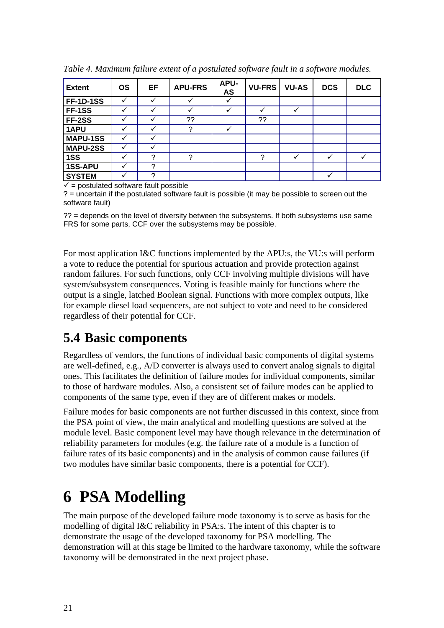<span id="page-25-1"></span>

| <b>Extent</b>    | <b>OS</b>    | EF | <b>APU-FRS</b> | APU-<br>AS | <b>VU-FRS</b> | <b>VU-AS</b> | <b>DCS</b>   | <b>DLC</b> |
|------------------|--------------|----|----------------|------------|---------------|--------------|--------------|------------|
| <b>FF-1D-1SS</b> | $\checkmark$ |    |                |            |               |              |              |            |
| FF-1SS           | ✓            |    |                |            |               |              |              |            |
| FF-2SS           | ✓            |    | ??             |            | ??            |              |              |            |
| 1APU             | ✓            |    | っ              |            |               |              |              |            |
| <b>MAPU-1SS</b>  | ✓            |    |                |            |               |              |              |            |
| <b>MAPU-2SS</b>  | ✓            |    |                |            |               |              |              |            |
| 1SS              | ✓            | っ  | ⌒              |            | ◠             |              | $\checkmark$ |            |
| <b>1SS-APU</b>   | $\checkmark$ | ↷  |                |            |               |              |              |            |
| <b>SYSTEM</b>    |              | ◠  |                |            |               |              |              |            |

<span id="page-25-0"></span>*Table 4. Maximum failure extent of a postulated software fault in a software modules.* 

 $\sqrt{}$  = postulated software fault possible

? = uncertain if the postulated software fault is possible (it may be possible to screen out the software fault)

?? = depends on the level of diversity between the subsystems. If both subsystems use same FRS for some parts, CCF over the subsystems may be possible.

For most application I&C functions implemented by the APU:s, the VU:s will perform a vote to reduce the potential for spurious actuation and provide protection against random failures. For such functions, only CCF involving multiple divisions will have system/subsystem consequences. Voting is feasible mainly for functions where the output is a single, latched Boolean signal. Functions with more complex outputs, like for example diesel load sequencers, are not subject to vote and need to be considered regardless of their potential for CCF.

### **5.4 Basic components**

Regardless of vendors, the functions of individual basic components of digital systems are well-defined, e.g., A/D converter is always used to convert analog signals to digital ones. This facilitates the definition of failure modes for individual components, similar to those of hardware modules. Also, a consistent set of failure modes can be applied to components of the same type, even if they are of different makes or models.

Failure modes for basic components are not further discussed in this context, since from the PSA point of view, the main analytical and modelling questions are solved at the module level. Basic component level may have though relevance in the determination of reliability parameters for modules (e.g. the failure rate of a module is a function of failure rates of its basic components) and in the analysis of common cause failures (if two modules have similar basic components, there is a potential for CCF).

## **6 PSA Modelling**

The main purpose of the developed failure mode taxonomy is to serve as basis for the modelling of digital I&C reliability in PSA:s. The intent of this chapter is to demonstrate the usage of the developed taxonomy for PSA modelling. The demonstration will at this stage be limited to the hardware taxonomy, while the software taxonomy will be demonstrated in the next project phase.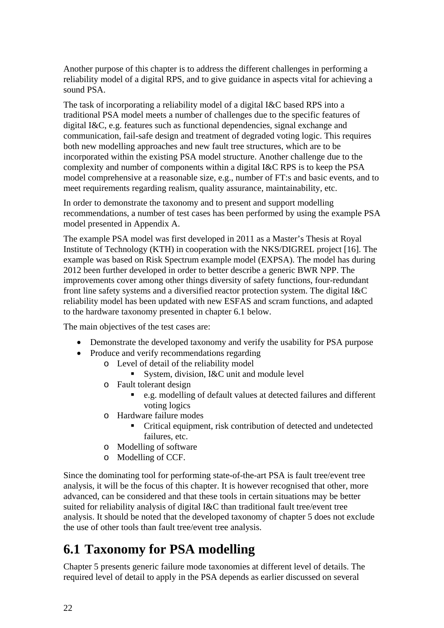<span id="page-26-0"></span>Another purpose of this chapter is to address the different challenges in performing a reliability model of a digital RPS, and to give guidance in aspects vital for achieving a sound PSA.

The task of incorporating a reliability model of a digital I&C based RPS into a traditional PSA model meets a number of challenges due to the specific features of digital I&C, e.g. features such as functional dependencies, signal exchange and communication, fail-safe design and treatment of degraded voting logic. This requires both new modelling approaches and new fault tree structures, which are to be incorporated within the existing PSA model structure. Another challenge due to the complexity and number of components within a digital I&C RPS is to keep the PSA model comprehensive at a reasonable size, e.g., number of FT:s and basic events, and to meet requirements regarding realism, quality assurance, maintainability, etc.

In order to demonstrate the taxonomy and to present and support modelling recommendations, a number of test cases has been performed by using the example PSA model presented in Appendix A.

The example PSA model was first developed in 2011 as a Master's Thesis at Royal Institute of Technology (KTH) in cooperation with the NKS/DIGREL project [\[16](#page-43-6)]. The example was based on Risk Spectrum example model (EXPSA). The model has during 2012 been further developed in order to better describe a generic BWR NPP. The improvements cover among other things diversity of safety functions, four-redundant front line safety systems and a diversified reactor protection system. The digital I&C reliability model has been updated with new ESFAS and scram functions, and adapted to the hardware taxonomy presented in chapter 6.1 below.

The main objectives of the test cases are:

- Demonstrate the developed taxonomy and verify the usability for PSA purpose
- Produce and verify recommendations regarding
	- o Level of detail of the reliability model
		- System, division, I&C unit and module level
	- o Fault tolerant design
		- e.g. modelling of default values at detected failures and different voting logics
	- o Hardware failure modes
		- Critical equipment, risk contribution of detected and undetected failures, etc.
	- o Modelling of software
	- o Modelling of CCF.

Since the dominating tool for performing state-of-the-art PSA is fault tree/event tree analysis, it will be the focus of this chapter. It is however recognised that other, more advanced, can be considered and that these tools in certain situations may be better suited for reliability analysis of digital I&C than traditional fault tree/event tree analysis. It should be noted that the developed taxonomy of chapter 5 does not exclude the use of other tools than fault tree/event tree analysis.

### **6.1 Taxonomy for PSA modelling**

Chapter 5 presents generic failure mode taxonomies at different level of details. The required level of detail to apply in the PSA depends as earlier discussed on several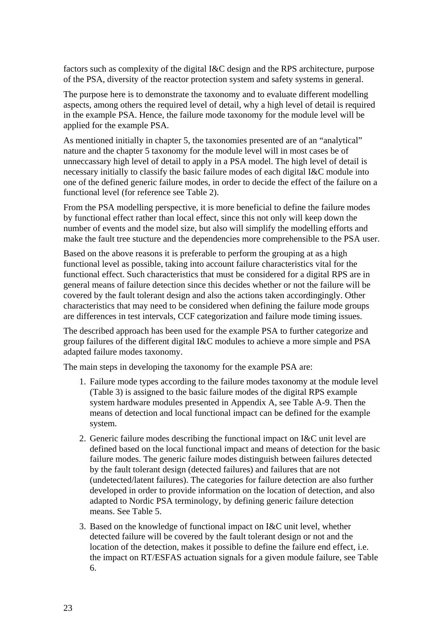factors such as complexity of the digital I&C design and the RPS architecture, purpose of the PSA, diversity of the reactor protection system and safety systems in general.

The purpose here is to demonstrate the taxonomy and to evaluate different modelling aspects, among others the required level of detail, why a high level of detail is required in the example PSA. Hence, the failure mode taxonomy for the module level will be applied for the example PSA.

As mentioned initially in chapter 5, the taxonomies presented are of an "analytical" nature and the chapter 5 taxonomy for the module level will in most cases be of unneccassary high level of detail to apply in a PSA model. The high level of detail is necessary initially to classify the basic failure modes of each digital I&C module into one of the defined generic failure modes, in order to decide the effect of the failure on a functional level (for reference see Table 2).

From the PSA modelling perspective, it is more beneficial to define the failure modes by functional effect rather than local effect, since this not only will keep down the number of events and the model size, but also will simplify the modelling efforts and make the fault tree stucture and the dependencies more comprehensible to the PSA user.

Based on the above reasons it is preferable to perform the grouping at as a high functional level as possible, taking into account failure characteristics vital for the functional effect. Such characteristics that must be considered for a digital RPS are in general means of failure detection since this decides whether or not the failure will be covered by the fault tolerant design and also the actions taken accordingingly. Other characteristics that may need to be considered when defining the failure mode groups are differences in test intervals, CCF categorization and failure mode timing issues.

The described approach has been used for the example PSA to further categorize and group failures of the different digital I&C modules to achieve a more simple and PSA adapted failure modes taxonomy.

The main steps in developing the taxonomy for the example PSA are:

- 1. Failure mode types according to the failure modes taxonomy at the module level (Table 3) is assigned to the basic failure modes of the digital RPS example system hardware modules presented in Appendix A, see Table A-9. Then the means of detection and local functional impact can be defined for the example system.
- 2. Generic failure modes describing the functional impact on I&C unit level are defined based on the local functional impact and means of detection for the basic failure modes. The generic failure modes distinguish between failures detected by the fault tolerant design (detected failures) and failures that are not (undetected/latent failures). The categories for failure detection are also further developed in order to provide information on the location of detection, and also adapted to Nordic PSA terminology, by defining generic failure detection means. See Table 5.
- 3. Based on the knowledge of functional impact on I&C unit level, whether detected failure will be covered by the fault tolerant design or not and the location of the detection, makes it possible to define the failure end effect, i.e. the impact on RT/ESFAS actuation signals for a given module failure, see Table 6.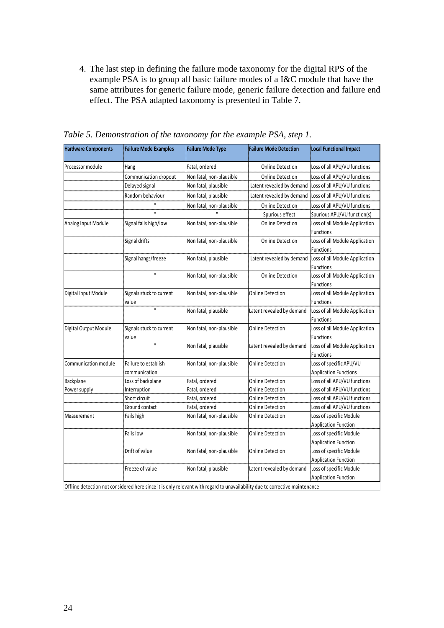<span id="page-28-0"></span>4. The last step in defining the failure mode taxonomy for the digital RPS of the example PSA is to group all basic failure modes of a I&C module that have the same attributes for generic failure mode, generic failure detection and failure end effect. The PSA adapted taxonomy is presented in Table 7.

| <b>Hardware Components</b> | <b>Failure Mode Examples</b>          | <b>Failure Mode Type</b> | <b>Failure Mode Detection</b> | <b>Local Functional Impact</b>                          |
|----------------------------|---------------------------------------|--------------------------|-------------------------------|---------------------------------------------------------|
| Processor module           | Hang                                  | Fatal, ordered           | <b>Online Detection</b>       | Loss of all APU/VU functions                            |
|                            | Communication dropout                 | Non fatal, non-plausible | <b>Online Detection</b>       | Loss of all APU/VU functions                            |
|                            | Delayed signal                        | Non fatal, plausible     | Latent revealed by demand     | Loss of all APU/VU functions                            |
|                            | Random behaviour                      | Non fatal, plausible     | Latent revealed by demand     | Loss of all APU/VU functions                            |
|                            |                                       | Non fatal, non-plausible | <b>Online Detection</b>       | Loss of all APU/VU functions                            |
|                            | $\mathbf{u}$                          |                          | Spurious effect               | Spurious APU/VU function(s)                             |
| Analog Input Module        | Signal fails high/low                 | Non fatal, non-plausible | <b>Online Detection</b>       | Loss of all Module Application<br>Functions             |
|                            | Signal drifts                         | Non fatal, non-plausible | <b>Online Detection</b>       | Loss of all Module Application<br><b>Functions</b>      |
|                            | Signal hangs/freeze                   | Non fatal, plausible     | Latent revealed by demand     | Loss of all Module Application<br><b>Functions</b>      |
|                            | $\mathbf{u}$                          | Non fatal, non-plausible | <b>Online Detection</b>       | Loss of all Module Application<br><b>Functions</b>      |
| Digital Input Module       | Signals stuck to current<br>value     | Non fatal, non-plausible | <b>Online Detection</b>       | Loss of all Module Application<br>Functions             |
|                            | $\mathbf{u}$                          | Non fatal, plausible     | Latent revealed by demand     | Loss of all Module Application<br><b>Functions</b>      |
| Digital Output Module      | Signals stuck to current<br>value     | Non fatal, non-plausible | <b>Online Detection</b>       | Loss of all Module Application<br>Functions             |
|                            | $\mathbf{u}$                          | Non fatal, plausible     | Latent revealed by demand     | Loss of all Module Application<br>Functions             |
| Communication module       | Failure to establish<br>communication | Non fatal, non-plausible | <b>Online Detection</b>       | Loss of specific APU/VU<br><b>Application Functions</b> |
| Backplane                  | Loss of backplane                     | Fatal, ordered           | <b>Online Detection</b>       | Loss of all APU/VU functions                            |
| Power supply               | Interruption                          | Fatal, ordered           | <b>Online Detection</b>       | Loss of all APU/VU functions                            |
|                            | Short circuit                         | Fatal, ordered           | <b>Online Detection</b>       | Loss of all APU/VU functions                            |
|                            | Ground contact                        | Fatal, ordered           | <b>Online Detection</b>       | Loss of all APU/VU functions                            |
| Measurement                | Fails high                            | Non fatal, non-plausible | <b>Online Detection</b>       | Loss of specific Module<br><b>Application Function</b>  |
|                            | Fails low                             | Non fatal, non-plausible | <b>Online Detection</b>       | Loss of specific Module<br><b>Application Function</b>  |
|                            | Drift of value                        | Non fatal, non-plausible | <b>Online Detection</b>       | Loss of specific Module<br><b>Application Function</b>  |
|                            | Freeze of value                       | Non fatal, plausible     | Latent revealed by demand     | Loss of specific Module<br><b>Application Function</b>  |

*Table 5. Demonstration of the taxonomy for the example PSA, step 1.* 

Offline detection not considered here since it is only relevant with regard to unavailability due to corrective maintenance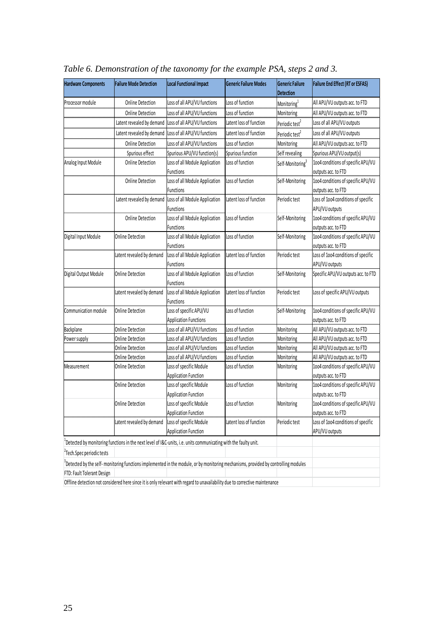| <b>Hardware Components</b> | <b>Failure Mode Detection</b> | <b>Local Functional Impact</b>                                                                                                     | <b>Generic Failure Modes</b> | <b>Generic Failure</b><br>Detection | <b>Failure End Effect (RT or ESFAS)</b>                   |
|----------------------------|-------------------------------|------------------------------------------------------------------------------------------------------------------------------------|------------------------------|-------------------------------------|-----------------------------------------------------------|
| Processor module           | <b>Online Detection</b>       | Loss of all APU/VU functions                                                                                                       | Loss of function             | Monitoring <sup>1</sup>             | All APU/VU outputs acc. to FTD                            |
|                            | <b>Online Detection</b>       | Loss of all APU/VU functions                                                                                                       | Loss of function             | Monitoring                          | All APU/VU outputs acc. to FTD                            |
|                            | Latent revealed by demand     | Loss of all APU/VU functions                                                                                                       | Latent loss of function      | Periodic test <sup>2</sup>          | Loss of all APU/VU outputs                                |
|                            | Latent revealed by demand     | Loss of all APU/VU functions                                                                                                       | Latent loss of function      | Periodic test <sup>2</sup>          | Loss of all APU/VU outputs                                |
|                            | <b>Online Detection</b>       | Loss of all APU/VU functions                                                                                                       | Loss of function             | Monitoring                          | All APU/VU outputs acc. to FTD                            |
|                            | Spurious effect               | Spurious APU/VU function(s)                                                                                                        | Spurious function            | Self revealing                      | Spurious APU/VU output(s)                                 |
| Analog Input Module        | <b>Online Detection</b>       | Loss of all Module Application<br>Functions                                                                                        | Loss of function             | Self-Monitoring <sup>3</sup>        | 1004 conditions of specific APU/VU<br>outputs acc. to FTD |
|                            | <b>Online Detection</b>       | Loss of all Module Application<br><b>Functions</b>                                                                                 | Loss of function             | Self-Monitoring                     | 1004 conditions of specific APU/VU<br>outputs acc. to FTD |
|                            | Latent revealed by demand     | Loss of all Module Application<br><b>Functions</b>                                                                                 | Latent loss of function      | Periodic test                       | Loss of 1004 conditions of specific<br>APU/VU outputs     |
|                            | <b>Online Detection</b>       | Loss of all Module Application<br><b>Functions</b>                                                                                 | Loss of function             | Self-Monitoring                     | 1004 conditions of specific APU/VU<br>outputs acc. to FTD |
| Digital Input Module       | Online Detection              | Loss of all Module Application<br>Functions                                                                                        | Loss of function             | Self-Monitoring                     | 1004 conditions of specific APU/VU<br>outputs acc. to FTD |
|                            | Latent revealed by demand     | Loss of all Module Application<br>Functions                                                                                        | Latent loss of function      | Periodic test                       | Loss of 1004 conditions of specific<br>APU/VU outputs     |
| Digital Output Module      | <b>Online Detection</b>       | Loss of all Module Application<br>Functions                                                                                        | Loss of function             | Self-Monitoring                     | Specific APU/VU outputs acc. to FTD                       |
|                            | Latent revealed by demand     | Loss of all Module Application<br>Functions                                                                                        | Latent loss of function      | Periodic test                       | Loss of specific APU/VU outputs                           |
| Communication module       | <b>Online Detection</b>       | Loss of specific APU/VU<br><b>Application Functions</b>                                                                            | Loss of function             | Self-Monitoring                     | 1004 conditions of specific APU/VU<br>outputs acc. to FTD |
| Backplane                  | <b>Online Detection</b>       | Loss of all APU/VU functions                                                                                                       | Loss of function             | Monitoring                          | All APU/VU outputs acc. to FTD                            |
| Power supply               | <b>Online Detection</b>       | Loss of all APU/VU functions                                                                                                       | Loss of function             | Monitoring                          | All APU/VU outputs acc. to FTD                            |
|                            | <b>Online Detection</b>       | Loss of all APU/VU functions                                                                                                       | Loss of function             | Monitoring                          | All APU/VU outputs acc. to FTD                            |
|                            | <b>Online Detection</b>       | Loss of all APU/VU functions                                                                                                       | Loss of function             | Monitoring                          | All APU/VU outputs acc. to FTD                            |
| Measurement                | Online Detection              | Loss of specific Module<br>Application Function                                                                                    | Loss of function             | Monitoring                          | 1004 conditions of specific APU/VU<br>outputs acc. to FTD |
|                            | <b>Online Detection</b>       | Loss of specific Module<br>Application Function                                                                                    | Loss of function             | Monitoring                          | 1004 conditions of specific APU/VU<br>outputs acc. to FTD |
|                            | Online Detection              | Loss of specific Module<br>Application Function                                                                                    | Loss of function             | Monitoring                          | 1004 conditions of specific APU/VU<br>outputs acc. to FTD |
|                            | Latent revealed by demand     | Loss of specific Module<br>Application Function                                                                                    | Latent loss of function      | Periodic test                       | Loss of 1004 conditions of specific<br>APU/VU outputs     |
|                            |                               | Detected by monitoring functions in the next level of I&C-units, i.e. units communicating with the faulty unit.                    |                              |                                     |                                                           |
| Tech.Spec periodic tests   |                               |                                                                                                                                    |                              |                                     |                                                           |
|                            |                               | Detected by the self- monitoring functions implemented in the module, or by monitoring mechanisms, provided by controlling modules |                              |                                     |                                                           |
| FTD: Fault Tolerant Design |                               |                                                                                                                                    |                              |                                     |                                                           |
|                            |                               | Offline detection not considered here since it is only relevant with regard to unavailability due to corrective maintenance        |                              |                                     |                                                           |

<span id="page-29-0"></span>*Table 6. Demonstration of the taxonomy for the example PSA, steps 2 and 3.*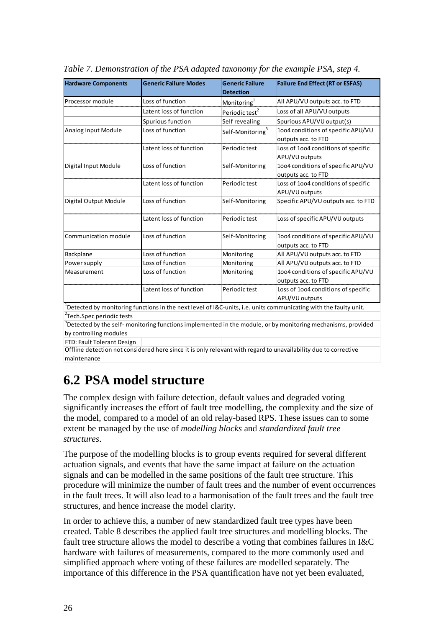| <b>Hardware Components</b>            | <b>Generic Failure Modes</b> |                              | <b>Failure End Effect (RT or ESFAS)</b>                                                                              |
|---------------------------------------|------------------------------|------------------------------|----------------------------------------------------------------------------------------------------------------------|
| Processor module                      | Loss of function             | Monitoring <sup>1</sup>      | All APU/VU outputs acc. to FTD                                                                                       |
|                                       | Latent loss of function      | Periodic test <sup>2</sup>   | Loss of all APU/VU outputs                                                                                           |
|                                       | Spurious function            | Self revealing               | Spurious APU/VU output(s)                                                                                            |
| Analog Input Module                   | Loss of function             | Self-Monitoring <sup>3</sup> | 1004 conditions of specific APU/VU<br>outputs acc. to FTD                                                            |
|                                       | Latent loss of function      | Periodic test                | Loss of 1004 conditions of specific<br>APU/VU outputs                                                                |
| Digital Input Module                  | Loss of function             | Self-Monitoring              | 1004 conditions of specific APU/VU<br>outputs acc. to FTD                                                            |
|                                       | Latent loss of function      | Periodic test                | Loss of 1004 conditions of specific<br>APU/VU outputs                                                                |
| Digital Output Module                 | Loss of function             | Self-Monitoring              | Specific APU/VU outputs acc. to FTD                                                                                  |
|                                       | Latent loss of function      | Periodic test                | Loss of specific APU/VU outputs                                                                                      |
| Communication module                  | Loss of function             | Self-Monitoring              | 1004 conditions of specific APU/VU<br>outputs acc. to FTD                                                            |
| Backplane                             | Loss of function             | Monitoring                   | All APU/VU outputs acc. to FTD                                                                                       |
| Power supply                          | Loss of function             | Monitoring                   | All APU/VU outputs acc. to FTD                                                                                       |
| Measurement                           | Loss of function             | Monitoring                   | 1004 conditions of specific APU/VU<br>outputs acc. to FTD                                                            |
|                                       | Latent loss of function      | Periodic test                | Loss of 1004 conditions of specific<br>APU/VU outputs                                                                |
|                                       |                              |                              | Detected by monitoring functions in the next level of I&C-units, i.e. units communicating with the faulty unit.      |
| <sup>2</sup> Tech.Spec periodic tests |                              |                              |                                                                                                                      |
|                                       |                              |                              | ${}^{3}$ Detected by the self- monitoring functions implemented in the module, or by monitoring mechanisms, provided |
| by controlling modules                |                              |                              |                                                                                                                      |
| FTD: Fault Tolerant Design            |                              |                              |                                                                                                                      |
| maintenance                           |                              |                              | Offline detection not considered here since it is only relevant with regard to unavailability due to corrective      |

<span id="page-30-0"></span>*Table 7. Demonstration of the PSA adapted taxonomy for the example PSA, step 4.* 

**6.2 PSA model structure** 

The complex design with failure detection, default values and degraded voting significantly increases the effort of fault tree modelling, the complexity and the size of the model, compared to a model of an old relay-based RPS. These issues can to some extent be managed by the use of *modelling blocks* and *standardized fault tree structures*.

The purpose of the modelling blocks is to group events required for several different actuation signals, and events that have the same impact at failure on the actuation signals and can be modelled in the same positions of the fault tree structure. This procedure will minimize the number of fault trees and the number of event occurrences in the fault trees. It will also lead to a harmonisation of the fault trees and the fault tree structures, and hence increase the model clarity.

In order to achieve this, a number of new standardized fault tree types have been created. Table 8 describes the applied fault tree structures and modelling blocks. The fault tree structure allows the model to describe a voting that combines failures in I&C hardware with failures of measurements, compared to the more commonly used and simplified approach where voting of these failures are modelled separately. The importance of this difference in the PSA quantification have not yet been evaluated,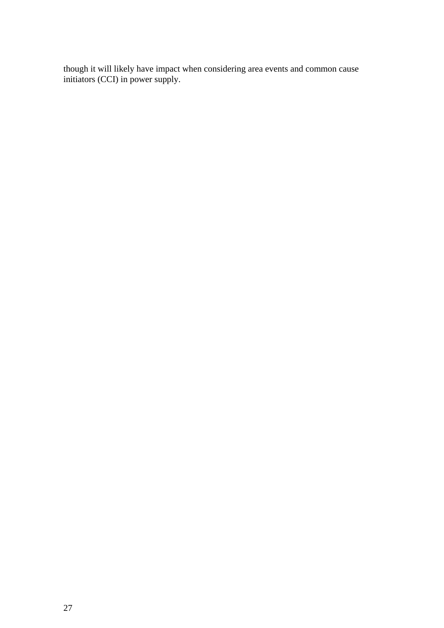though it will likely have impact when considering area events and common cause initiators (CCI) in power supply.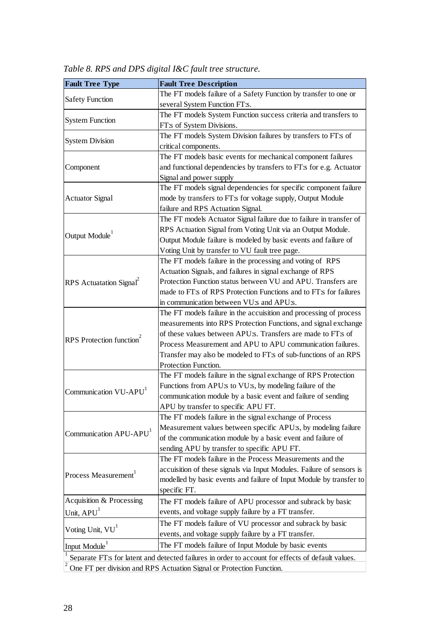| <b>Fault Tree Type</b>               | <b>Fault Tree Description</b>                                                                                             |  |  |
|--------------------------------------|---------------------------------------------------------------------------------------------------------------------------|--|--|
|                                      | The FT models failure of a Safety Function by transfer to one or                                                          |  |  |
| <b>Safety Function</b>               | several System Function FT:s.                                                                                             |  |  |
|                                      | The FT models System Function success criteria and transfers to                                                           |  |  |
| <b>System Function</b>               | FT:s of System Divisions.                                                                                                 |  |  |
|                                      | The FT models System Division failures by transfers to FT:s of                                                            |  |  |
| <b>System Division</b>               | critical components.                                                                                                      |  |  |
|                                      | The FT models basic events for mechanical component failures                                                              |  |  |
| Component                            | and functional dependencies by transfers to FT:s for e.g. Actuator                                                        |  |  |
|                                      | Signal and power supply                                                                                                   |  |  |
|                                      | The FT models signal dependencies for specific component failure                                                          |  |  |
| <b>Actuator Signal</b>               | mode by transfers to FT:s for voltage supply, Output Module                                                               |  |  |
|                                      | failure and RPS Actuation Signal.                                                                                         |  |  |
|                                      | The FT models Actuator Signal failure due to failure in transfer of                                                       |  |  |
|                                      | RPS Actuation Signal from Voting Unit via an Output Module.                                                               |  |  |
| Output Module <sup>1</sup>           | Output Module failure is modeled by basic events and failure of                                                           |  |  |
|                                      | Voting Unit by transfer to VU fault tree page.                                                                            |  |  |
|                                      | The FT models failure in the processing and voting of RPS                                                                 |  |  |
|                                      |                                                                                                                           |  |  |
|                                      | Actuation Signals, and failures in signal exchange of RPS<br>Protection Function status between VU and APU. Transfers are |  |  |
| RPS Actuatation Signal <sup>2</sup>  | made to FT:s of RPS Protection Functions and to FT:s for failures                                                         |  |  |
|                                      |                                                                                                                           |  |  |
|                                      | in communication between VU:s and APU:s.                                                                                  |  |  |
|                                      | The FT models failure in the accuisition and processing of process                                                        |  |  |
|                                      | measurements into RPS Protection Functions, and signal exchange                                                           |  |  |
| RPS Protection function <sup>2</sup> | of these values between APU:s. Transfers are made to FT:s of                                                              |  |  |
|                                      | Process Measurement and APU to APU communication failures.                                                                |  |  |
|                                      | Transfer may also be modeled to FT:s of sub-functions of an RPS                                                           |  |  |
|                                      | Protection Function.                                                                                                      |  |  |
|                                      | The FT models failure in the signal exchange of RPS Protection                                                            |  |  |
| Communication VU-APU <sup>1</sup>    | Functions from APU:s to VU:s, by modeling failure of the                                                                  |  |  |
|                                      | communication module by a basic event and failure of sending                                                              |  |  |
|                                      | APU by transfer to specific APU FT.                                                                                       |  |  |
|                                      | The FT models failure in the signal exchange of Process                                                                   |  |  |
| Communication APU-APU <sup>1</sup>   | Measurement values between specific APU:s, by modeling failure                                                            |  |  |
|                                      | of the communication module by a basic event and failure of                                                               |  |  |
|                                      | sending APU by transfer to specific APU FT.                                                                               |  |  |
|                                      | The FT models failure in the Process Measurements and the                                                                 |  |  |
|                                      | accuisition of these signals via Input Modules. Failure of sensors is                                                     |  |  |
| Process Measurement                  | modelled by basic events and failure of Input Module by transfer to                                                       |  |  |
|                                      | specific FT.                                                                                                              |  |  |
| Acquisition & Processing             | The FT models failure of APU processor and subrack by basic                                                               |  |  |
| Unit, $APU1$                         | events, and voltage supply failure by a FT transfer.                                                                      |  |  |
|                                      | The FT models failure of VU processor and subrack by basic                                                                |  |  |
| Voting Unit, $VU^1$                  | events, and voltage supply failure by a FT transfer.                                                                      |  |  |
|                                      | The FT models failure of Input Module by basic events                                                                     |  |  |
| Input Module <sup>1</sup>            | Separate FT:s for latent and detected failures in order to account for effects of default values.                         |  |  |

<span id="page-32-0"></span>*Table 8. RPS and DPS digital I&C fault tree structure.* 

<sup>1</sup> Separate FT:s for latent and detected failures in order to account for effects of default values.<br><sup>2</sup> One FT per division and RPS Actuation Signal or Protection Function.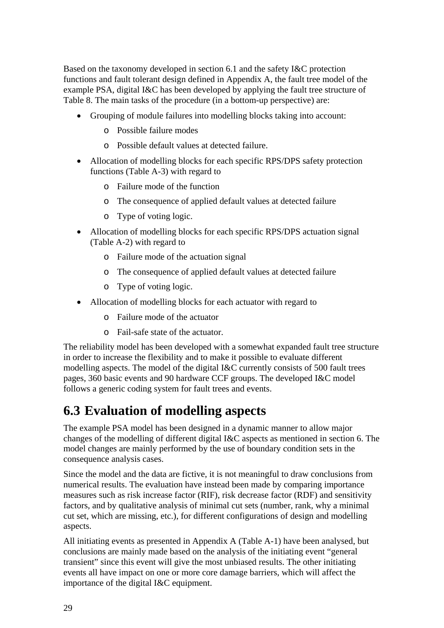<span id="page-33-0"></span>Based on the taxonomy developed in section 6.1 and the safety I&C protection functions and fault tolerant design defined in Appendix A, the fault tree model of the example PSA, digital I&C has been developed by applying the fault tree structure of Table 8. The main tasks of the procedure (in a bottom-up perspective) are:

- Grouping of module failures into modelling blocks taking into account:
	- o Possible failure modes
	- o Possible default values at detected failure.
- Allocation of modelling blocks for each specific RPS/DPS safety protection functions (Table A-3) with regard to
	- o Failure mode of the function
	- o The consequence of applied default values at detected failure
	- o Type of voting logic.
- Allocation of modelling blocks for each specific RPS/DPS actuation signal (Table A-2) with regard to
	- o Failure mode of the actuation signal
	- o The consequence of applied default values at detected failure
	- o Type of voting logic.
- Allocation of modelling blocks for each actuator with regard to
	- o Failure mode of the actuator
	- o Fail-safe state of the actuator.

The reliability model has been developed with a somewhat expanded fault tree structure in order to increase the flexibility and to make it possible to evaluate different modelling aspects. The model of the digital I&C currently consists of 500 fault trees pages, 360 basic events and 90 hardware CCF groups. The developed I&C model follows a generic coding system for fault trees and events.

### **6.3 Evaluation of modelling aspects**

The example PSA model has been designed in a dynamic manner to allow major changes of the modelling of different digital I&C aspects as mentioned in section 6. The model changes are mainly performed by the use of boundary condition sets in the consequence analysis cases.

Since the model and the data are fictive, it is not meaningful to draw conclusions from numerical results. The evaluation have instead been made by comparing importance measures such as risk increase factor (RIF), risk decrease factor (RDF) and sensitivity factors, and by qualitative analysis of minimal cut sets (number, rank, why a minimal cut set, which are missing, etc.), for different configurations of design and modelling aspects.

All initiating events as presented in Appendix A (Table A-1) have been analysed, but conclusions are mainly made based on the analysis of the initiating event "general transient" since this event will give the most unbiased results. The other initiating events all have impact on one or more core damage barriers, which will affect the importance of the digital I&C equipment.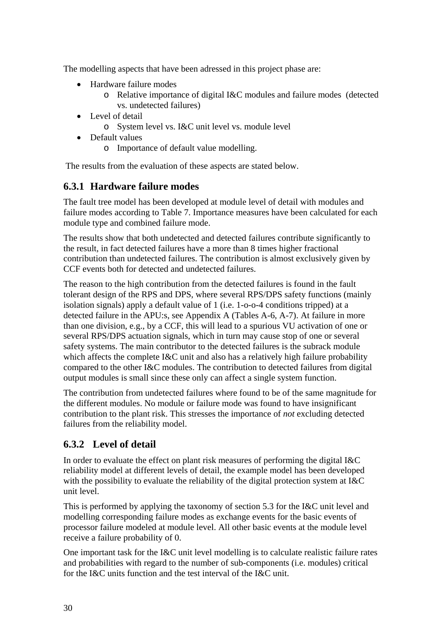<span id="page-34-0"></span>The modelling aspects that have been adressed in this project phase are:

- Hardware failure modes
	- o Relative importance of digital I&C modules and failure modes (detected vs. undetected failures)
- Level of detail
	- o System level vs. I&C unit level vs. module level
- Default values
	- o Importance of default value modelling.

The results from the evaluation of these aspects are stated below.

#### **6.3.1 Hardware failure modes**

The fault tree model has been developed at module level of detail with modules and failure modes according to Table 7. Importance measures have been calculated for each module type and combined failure mode.

The results show that both undetected and detected failures contribute significantly to the result, in fact detected failures have a more than 8 times higher fractional contribution than undetected failures. The contribution is almost exclusively given by CCF events both for detected and undetected failures.

The reason to the high contribution from the detected failures is found in the fault tolerant design of the RPS and DPS, where several RPS/DPS safety functions (mainly isolation signals) apply a default value of 1 (i.e. 1-o-o-4 conditions tripped) at a detected failure in the APU:s, see Appendix A (Tables A-6, A-7). At failure in more than one division, e.g., by a CCF, this will lead to a spurious VU activation of one or several RPS/DPS actuation signals, which in turn may cause stop of one or several safety systems. The main contributor to the detected failures is the subrack module which affects the complete I&C unit and also has a relatively high failure probability compared to the other I&C modules. The contribution to detected failures from digital output modules is small since these only can affect a single system function.

The contribution from undetected failures where found to be of the same magnitude for the different modules. No module or failure mode was found to have insignificant contribution to the plant risk. This stresses the importance of *not* excluding detected failures from the reliability model.

#### **6.3.2 Level of detail**

In order to evaluate the effect on plant risk measures of performing the digital I&C reliability model at different levels of detail, the example model has been developed with the possibility to evaluate the reliability of the digital protection system at I&C unit level.

This is performed by applying the taxonomy of section 5.3 for the I&C unit level and modelling corresponding failure modes as exchange events for the basic events of processor failure modeled at module level. All other basic events at the module level receive a failure probability of 0.

One important task for the I&C unit level modelling is to calculate realistic failure rates and probabilities with regard to the number of sub-components (i.e. modules) critical for the I&C units function and the test interval of the I&C unit.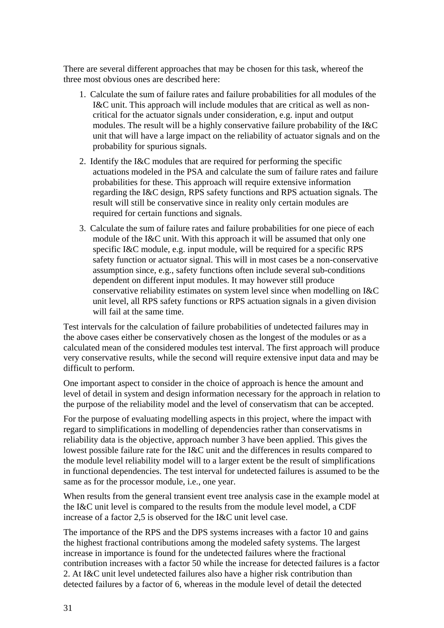There are several different approaches that may be chosen for this task, whereof the three most obvious ones are described here:

- 1. Calculate the sum of failure rates and failure probabilities for all modules of the I&C unit. This approach will include modules that are critical as well as noncritical for the actuator signals under consideration, e.g. input and output modules. The result will be a highly conservative failure probability of the I&C unit that will have a large impact on the reliability of actuator signals and on the probability for spurious signals.
- 2. Identify the I&C modules that are required for performing the specific actuations modeled in the PSA and calculate the sum of failure rates and failure probabilities for these. This approach will require extensive information regarding the I&C design, RPS safety functions and RPS actuation signals. The result will still be conservative since in reality only certain modules are required for certain functions and signals.
- 3. Calculate the sum of failure rates and failure probabilities for one piece of each module of the I&C unit. With this approach it will be assumed that only one specific I&C module, e.g. input module, will be required for a specific RPS safety function or actuator signal. This will in most cases be a non-conservative assumption since, e.g., safety functions often include several sub-conditions dependent on different input modules. It may however still produce conservative reliability estimates on system level since when modelling on I&C unit level, all RPS safety functions or RPS actuation signals in a given division will fail at the same time.

Test intervals for the calculation of failure probabilities of undetected failures may in the above cases either be conservatively chosen as the longest of the modules or as a calculated mean of the considered modules test interval. The first approach will produce very conservative results, while the second will require extensive input data and may be difficult to perform.

One important aspect to consider in the choice of approach is hence the amount and level of detail in system and design information necessary for the approach in relation to the purpose of the reliability model and the level of conservatism that can be accepted.

For the purpose of evaluating modelling aspects in this project, where the impact with regard to simplifications in modelling of dependencies rather than conservatisms in reliability data is the objective, approach number 3 have been applied. This gives the lowest possible failure rate for the I&C unit and the differences in results compared to the module level reliability model will to a larger extent be the result of simplifications in functional dependencies. The test interval for undetected failures is assumed to be the same as for the processor module, i.e., one year.

When results from the general transient event tree analysis case in the example model at the I&C unit level is compared to the results from the module level model, a CDF increase of a factor 2,5 is observed for the I&C unit level case.

The importance of the RPS and the DPS systems increases with a factor 10 and gains the highest fractional contributions among the modeled safety systems. The largest increase in importance is found for the undetected failures where the fractional contribution increases with a factor 50 while the increase for detected failures is a factor 2. At I&C unit level undetected failures also have a higher risk contribution than detected failures by a factor of 6, whereas in the module level of detail the detected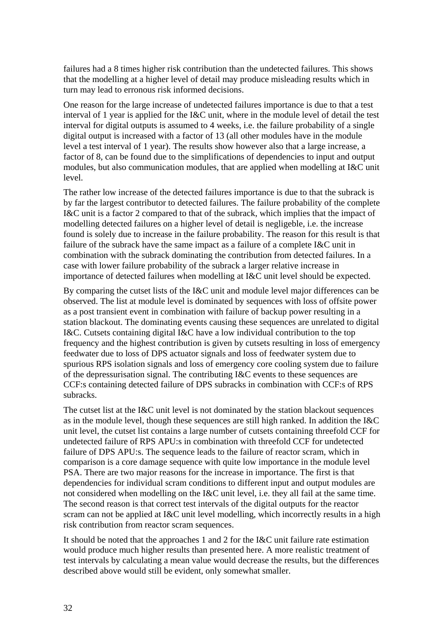failures had a 8 times higher risk contribution than the undetected failures. This shows that the modelling at a higher level of detail may produce misleading results which in turn may lead to erronous risk informed decisions.

One reason for the large increase of undetected failures importance is due to that a test interval of 1 year is applied for the I&C unit, where in the module level of detail the test interval for digital outputs is assumed to 4 weeks, i.e. the failure probability of a single digital output is increased with a factor of 13 (all other modules have in the module level a test interval of 1 year). The results show however also that a large increase, a factor of 8, can be found due to the simplifications of dependencies to input and output modules, but also communication modules, that are applied when modelling at I&C unit level.

The rather low increase of the detected failures importance is due to that the subrack is by far the largest contributor to detected failures. The failure probability of the complete I&C unit is a factor 2 compared to that of the subrack, which implies that the impact of modelling detected failures on a higher level of detail is negligeble, i.e. the increase found is solely due to increase in the failure probability. The reason for this result is that failure of the subrack have the same impact as a failure of a complete I&C unit in combination with the subrack dominating the contribution from detected failures. In a case with lower failure probability of the subrack a larger relative increase in importance of detected failures when modelling at I&C unit level should be expected.

By comparing the cutset lists of the I&C unit and module level major differences can be observed. The list at module level is dominated by sequences with loss of offsite power as a post transient event in combination with failure of backup power resulting in a station blackout. The dominating events causing these sequences are unrelated to digital I&C. Cutsets containing digital I&C have a low individual contribution to the top frequency and the highest contribution is given by cutsets resulting in loss of emergency feedwater due to loss of DPS actuator signals and loss of feedwater system due to spurious RPS isolation signals and loss of emergency core cooling system due to failure of the depressurisation signal. The contributing I&C events to these sequences are CCF:s containing detected failure of DPS subracks in combination with CCF:s of RPS subracks.

The cutset list at the I&C unit level is not dominated by the station blackout sequences as in the module level, though these sequences are still high ranked. In addition the I&C unit level, the cutset list contains a large number of cutsets containing threefold CCF for undetected failure of RPS APU:s in combination with threefold CCF for undetected failure of DPS APU:s. The sequence leads to the failure of reactor scram, which in comparison is a core damage sequence with quite low importance in the module level PSA. There are two major reasons for the increase in importance. The first is that dependencies for individual scram conditions to different input and output modules are not considered when modelling on the I&C unit level, i.e. they all fail at the same time. The second reason is that correct test intervals of the digital outputs for the reactor scram can not be applied at I&C unit level modelling, which incorrectly results in a high risk contribution from reactor scram sequences.

It should be noted that the approaches 1 and 2 for the I&C unit failure rate estimation would produce much higher results than presented here. A more realistic treatment of test intervals by calculating a mean value would decrease the results, but the differences described above would still be evident, only somewhat smaller.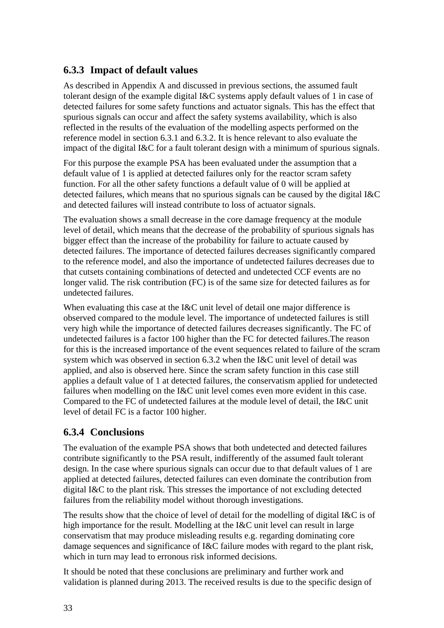#### <span id="page-37-0"></span>**6.3.3 Impact of default values**

As described in Appendix A and discussed in previous sections, the assumed fault tolerant design of the example digital I&C systems apply default values of 1 in case of detected failures for some safety functions and actuator signals. This has the effect that spurious signals can occur and affect the safety systems availability, which is also reflected in the results of the evaluation of the modelling aspects performed on the reference model in section 6.3.1 and 6.3.2. It is hence relevant to also evaluate the impact of the digital I&C for a fault tolerant design with a minimum of spurious signals.

For this purpose the example PSA has been evaluated under the assumption that a default value of 1 is applied at detected failures only for the reactor scram safety function. For all the other safety functions a default value of 0 will be applied at detected failures, which means that no spurious signals can be caused by the digital I&C and detected failures will instead contribute to loss of actuator signals.

The evaluation shows a small decrease in the core damage frequency at the module level of detail, which means that the decrease of the probability of spurious signals has bigger effect than the increase of the probability for failure to actuate caused by detected failures. The importance of detected failures decreases significantly compared to the reference model, and also the importance of undetected failures decreases due to that cutsets containing combinations of detected and undetected CCF events are no longer valid. The risk contribution (FC) is of the same size for detected failures as for undetected failures.

When evaluating this case at the I&C unit level of detail one major difference is observed compared to the module level. The importance of undetected failures is still very high while the importance of detected failures decreases significantly. The FC of undetected failures is a factor 100 higher than the FC for detected failures.The reason for this is the increased importance of the event sequences related to failure of the scram system which was observed in section 6.3.2 when the I&C unit level of detail was applied, and also is observed here. Since the scram safety function in this case still applies a default value of 1 at detected failures, the conservatism applied for undetected failures when modelling on the I&C unit level comes even more evident in this case. Compared to the FC of undetected failures at the module level of detail, the I&C unit level of detail FC is a factor 100 higher.

#### **6.3.4 Conclusions**

The evaluation of the example PSA shows that both undetected and detected failures contribute significantly to the PSA result, indifferently of the assumed fault tolerant design. In the case where spurious signals can occur due to that default values of 1 are applied at detected failures, detected failures can even dominate the contribution from digital I&C to the plant risk. This stresses the importance of not excluding detected failures from the reliability model without thorough investigations.

The results show that the choice of level of detail for the modelling of digital I&C is of high importance for the result. Modelling at the I&C unit level can result in large conservatism that may produce misleading results e.g. regarding dominating core damage sequences and significance of I&C failure modes with regard to the plant risk, which in turn may lead to erronous risk informed decisions.

It should be noted that these conclusions are preliminary and further work and validation is planned during 2013. The received results is due to the specific design of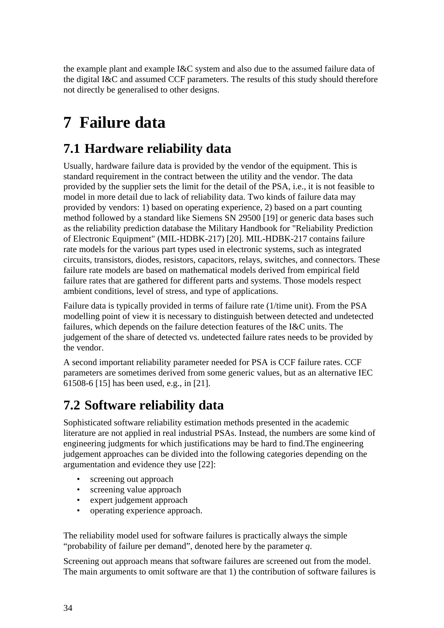<span id="page-38-0"></span>the example plant and example I&C system and also due to the assumed failure data of the digital I&C and assumed CCF parameters. The results of this study should therefore not directly be generalised to other designs.

# **7 Failure data**

### **7.1 Hardware reliability data**

Usually, hardware failure data is provided by the vendor of the equipment. This is standard requirement in the contract between the utility and the vendor. The data provided by the supplier sets the limit for the detail of the PSA, i.e., it is not feasible to model in more detail due to lack of reliability data. Two kinds of failure data may provided by vendors: 1) based on operating experience, 2) based on a part counting method followed by a standard like Siemens SN 29500 [[19\]](#page-43-7) or generic data bases such as the reliability prediction database the Military Handbook for "Reliability Prediction of Electronic Equipment" (MIL-HDBK-217) [\[20\]](#page-43-8). MIL-HDBK-217 contains failure rate models for the various part types used in electronic systems, such as integrated circuits, transistors, diodes, resistors, capacitors, relays, switches, and connectors. These failure rate models are based on mathematical models derived from empirical field failure rates that are gathered for different parts and systems. Those models respect ambient conditions, level of stress, and type of applications.

Failure data is typically provided in terms of failure rate (1/time unit). From the PSA modelling point of view it is necessary to distinguish between detected and undetected failures, which depends on the failure detection features of the I&C units. The judgement of the share of detected vs. undetected failure rates needs to be provided by the vendor.

A second important reliability parameter needed for PSA is CCF failure rates. CCF parameters are sometimes derived from some generic values, but as an alternative IEC 61508-6 [\[15](#page-43-5)] has been used, e.g., in [\[21](#page-43-9)].

### **7.2 Software reliability data**

Sophisticated software reliability estimation methods presented in the academic literature are not applied in real industrial PSAs. Instead, the numbers are some kind of engineering judgments for which justifications may be hard to find.The engineering judgement approaches can be divided into the following categories depending on the argumentation and evidence they use [\[22](#page-43-10)]:

- screening out approach
- screening value approach
- expert judgement approach
- operating experience approach.

The reliability model used for software failures is practically always the simple "probability of failure per demand", denoted here by the parameter *q*.

Screening out approach means that software failures are screened out from the model. The main arguments to omit software are that 1) the contribution of software failures is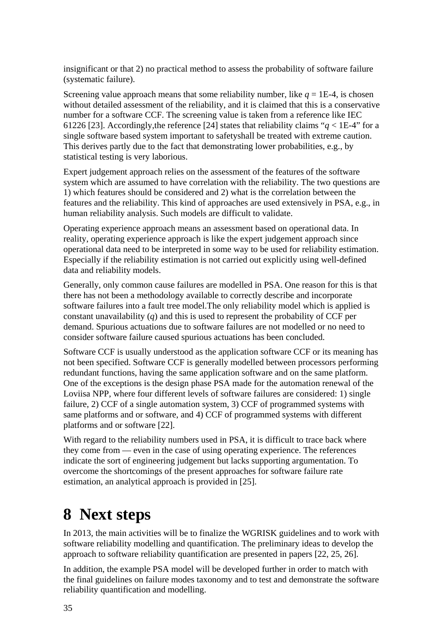<span id="page-39-0"></span>insignificant or that 2) no practical method to assess the probability of software failure (systematic failure).

Screening value approach means that some reliability number, like  $q = 1E-4$ , is chosen without detailed assessment of the reliability, and it is claimed that this is a conservative number for a software CCF. The screening value is taken from a reference like IEC 61226 [\[23](#page-43-11)]. Accordingly, the reference [\[24](#page-43-12)] states that reliability claims " $q <$  1E-4" for a single software based system important to safetyshall be treated with extreme caution. This derives partly due to the fact that demonstrating lower probabilities, e.g., by statistical testing is very laborious.

Expert judgement approach relies on the assessment of the features of the software system which are assumed to have correlation with the reliability. The two questions are 1) which features should be considered and 2) what is the correlation between the features and the reliability. This kind of approaches are used extensively in PSA, e.g., in human reliability analysis. Such models are difficult to validate.

Operating experience approach means an assessment based on operational data. In reality, operating experience approach is like the expert judgement approach since operational data need to be interpreted in some way to be used for reliability estimation. Especially if the reliability estimation is not carried out explicitly using well-defined data and reliability models.

Generally, only common cause failures are modelled in PSA. One reason for this is that there has not been a methodology available to correctly describe and incorporate software failures into a fault tree model.The only reliability model which is applied is constant unavailability (*q*) and this is used to represent the probability of CCF per demand. Spurious actuations due to software failures are not modelled or no need to consider software failure caused spurious actuations has been concluded.

Software CCF is usually understood as the application software CCF or its meaning has not been specified. Software CCF is generally modelled between processors performing redundant functions, having the same application software and on the same platform. One of the exceptions is the design phase PSA made for the automation renewal of the Loviisa NPP, where four different levels of software failures are considered: 1) single failure, 2) CCF of a single automation system, 3) CCF of programmed systems with same platforms and or software, and 4) CCF of programmed systems with different platforms and or software [[22\]](#page-43-10).

With regard to the reliability numbers used in PSA, it is difficult to trace back where they come from — even in the case of using operating experience. The references indicate the sort of engineering judgement but lacks supporting argumentation. To overcome the shortcomings of the present approaches for software failure rate estimation, an analytical approach is provided in [\[25](#page-43-13)].

## **8 Next steps**

In 2013, the main activities will be to finalize the WGRISK guidelines and to work with software reliability modelling and quantification. The preliminary ideas to develop the approach to software reliability quantification are presented in papers [[22,](#page-43-10) [25,](#page-43-13) [26\]](#page-43-14).

In addition, the example PSA model will be developed further in order to match with the final guidelines on failure modes taxonomy and to test and demonstrate the software reliability quantification and modelling.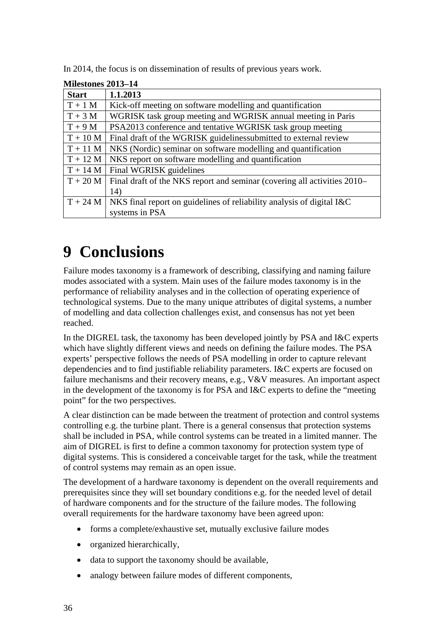<span id="page-40-0"></span>In 2014, the focus is on dissemination of results of previous years work.

| Milestones 2013–14 |                                                                          |
|--------------------|--------------------------------------------------------------------------|
| <b>Start</b>       | 1.1.2013                                                                 |
| $T+1$ M            | Kick-off meeting on software modelling and quantification                |
| $T + 3 M$          | WGRISK task group meeting and WGRISK annual meeting in Paris             |
| $T + 9 M$          | PSA2013 conference and tentative WGRISK task group meeting               |
| $T + 10 M$         | Final draft of the WGRISK guidelines submitted to external review        |
| $T + 11 M$         | NKS (Nordic) seminar on software modelling and quantification            |
| $T + 12 M$         | NKS report on software modelling and quantification                      |
| $T + 14 M$         | Final WGRISK guidelines                                                  |
| $T + 20 M$         | Final draft of the NKS report and seminar (covering all activities 2010– |
|                    | 14)                                                                      |
| $T + 24 M$         | NKS final report on guidelines of reliability analysis of digital I&C    |
|                    | systems in PSA                                                           |

**Milestones 2013–14** 

# **9 Conclusions**

Failure modes taxonomy is a framework of describing, classifying and naming failure modes associated with a system. Main uses of the failure modes taxonomy is in the performance of reliability analyses and in the collection of operating experience of technological systems. Due to the many unique attributes of digital systems, a number of modelling and data collection challenges exist, and consensus has not yet been reached.

In the DIGREL task, the taxonomy has been developed jointly by PSA and I&C experts which have slightly different views and needs on defining the failure modes. The PSA experts' perspective follows the needs of PSA modelling in order to capture relevant dependencies and to find justifiable reliability parameters. I&C experts are focused on failure mechanisms and their recovery means, e.g., V&V measures. An important aspect in the development of the taxonomy is for PSA and I&C experts to define the "meeting point" for the two perspectives.

A clear distinction can be made between the treatment of protection and control systems controlling e.g. the turbine plant. There is a general consensus that protection systems shall be included in PSA, while control systems can be treated in a limited manner. The aim of DIGREL is first to define a common taxonomy for protection system type of digital systems. This is considered a conceivable target for the task, while the treatment of control systems may remain as an open issue.

The development of a hardware taxonomy is dependent on the overall requirements and prerequisites since they will set boundary conditions e.g. for the needed level of detail of hardware components and for the structure of the failure modes. The following overall requirements for the hardware taxonomy have been agreed upon:

- forms a complete/exhaustive set, mutually exclusive failure modes
- organized hierarchically,
- data to support the taxonomy should be available,
- analogy between failure modes of different components,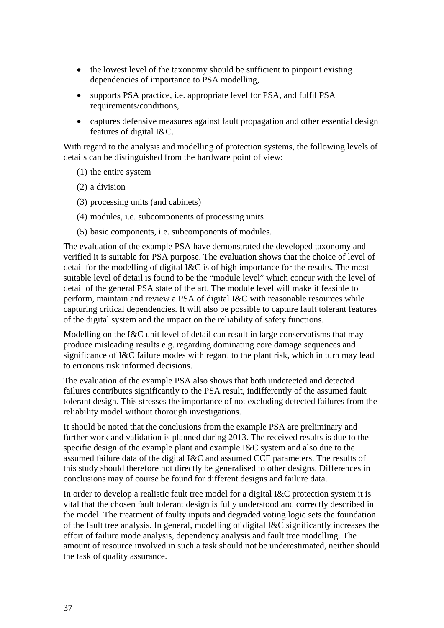- the lowest level of the taxonomy should be sufficient to pinpoint existing dependencies of importance to PSA modelling,
- supports PSA practice, i.e. appropriate level for PSA, and fulfil PSA requirements/conditions,
- captures defensive measures against fault propagation and other essential design features of digital I&C.

With regard to the analysis and modelling of protection systems, the following levels of details can be distinguished from the hardware point of view:

- (1) the entire system
- (2) a division
- (3) processing units (and cabinets)
- (4) modules, i.e. subcomponents of processing units
- (5) basic components, i.e. subcomponents of modules.

The evaluation of the example PSA have demonstrated the developed taxonomy and verified it is suitable for PSA purpose. The evaluation shows that the choice of level of detail for the modelling of digital I&C is of high importance for the results. The most suitable level of detail is found to be the "module level" which concur with the level of detail of the general PSA state of the art. The module level will make it feasible to perform, maintain and review a PSA of digital I&C with reasonable resources while capturing critical dependencies. It will also be possible to capture fault tolerant features of the digital system and the impact on the reliability of safety functions.

Modelling on the I&C unit level of detail can result in large conservatisms that may produce misleading results e.g. regarding dominating core damage sequences and significance of I&C failure modes with regard to the plant risk, which in turn may lead to erronous risk informed decisions.

The evaluation of the example PSA also shows that both undetected and detected failures contributes significantly to the PSA result, indifferently of the assumed fault tolerant design. This stresses the importance of not excluding detected failures from the reliability model without thorough investigations.

It should be noted that the conclusions from the example PSA are preliminary and further work and validation is planned during 2013. The received results is due to the specific design of the example plant and example I&C system and also due to the assumed failure data of the digital I&C and assumed CCF parameters. The results of this study should therefore not directly be generalised to other designs. Differences in conclusions may of course be found for different designs and failure data.

In order to develop a realistic fault tree model for a digital I&C protection system it is vital that the chosen fault tolerant design is fully understood and correctly described in the model. The treatment of faulty inputs and degraded voting logic sets the foundation of the fault tree analysis. In general, modelling of digital I&C significantly increases the effort of failure mode analysis, dependency analysis and fault tree modelling. The amount of resource involved in such a task should not be underestimated, neither should the task of quality assurance.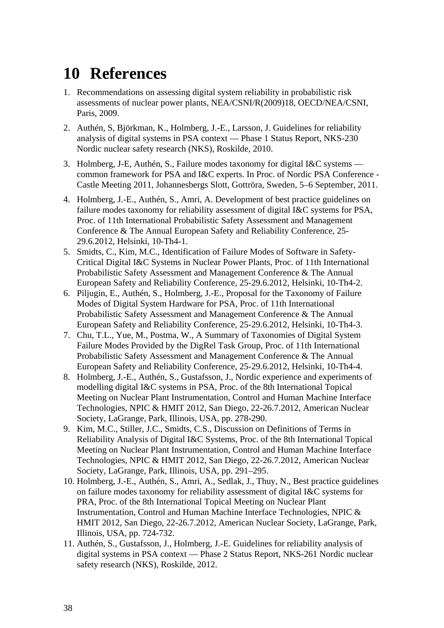## <span id="page-42-0"></span>**10 References**

- 1. Recommendations on assessing digital system reliability in probabilistic risk assessments of nuclear power plants, NEA/CSNI/R(2009)18, OECD/NEA/CSNI, Paris, 2009.
- 2. Authén, S, Björkman, K., Holmberg, J.-E., Larsson, J. Guidelines for reliability analysis of digital systems in PSA context — Phase 1 Status Report, NKS-230 Nordic nuclear safety research (NKS), Roskilde, 2010.
- <span id="page-42-1"></span>3. Holmberg, J-E, Authén, S., Failure modes taxonomy for digital I&C systems common framework for PSA and I&C experts. In Proc. of Nordic PSA Conference - Castle Meeting 2011, Johannesbergs Slott, Gottröra, Sweden, 5–6 September, 2011.
- 4. Holmberg, J.-E., Authén, S., Amri, A. Development of best practice guidelines on failure modes taxonomy for reliability assessment of digital I&C systems for PSA, Proc. of 11th International Probabilistic Safety Assessment and Management Conference & The Annual European Safety and Reliability Conference, 25- 29.6.2012, Helsinki, 10-Th4-1.
- 5. Smidts, C., Kim, M.C., Identification of Failure Modes of Software in Safety-Critical Digital I&C Systems in Nuclear Power Plants, Proc. of 11th International Probabilistic Safety Assessment and Management Conference & The Annual European Safety and Reliability Conference, 25-29.6.2012, Helsinki, 10-Th4-2.
- 6. Piljugin, E., Authén, S., Holmberg, J.-E., Proposal for the Taxonomy of Failure Modes of Digital System Hardware for PSA, Proc. of 11th International Probabilistic Safety Assessment and Management Conference & The Annual European Safety and Reliability Conference, 25-29.6.2012, Helsinki, 10-Th4-3.
- <span id="page-42-4"></span>7. Chu, T.L., Yue, M., Postma, W., A Summary of Taxonomies of Digital System Failure Modes Provided by the DigRel Task Group, Proc. of 11th International Probabilistic Safety Assessment and Management Conference & The Annual European Safety and Reliability Conference, 25-29.6.2012, Helsinki, 10-Th4-4.
- 8. Holmberg, J.-E., Authén, S., Gustafsson, J., Nordic experience and experiments of modelling digital I&C systems in PSA, Proc. of the 8th International Topical Meeting on Nuclear Plant Instrumentation, Control and Human Machine Interface Technologies, NPIC & HMIT 2012, San Diego, 22-26.7.2012, American Nuclear Society, LaGrange, Park, Illinois, USA, pp. 278-290.
- 9. Kim, M.C., Stiller, J.C., Smidts, C.S., Discussion on Definitions of Terms in Reliability Analysis of Digital I&C Systems, Proc. of the 8th International Topical Meeting on Nuclear Plant Instrumentation, Control and Human Machine Interface Technologies, NPIC & HMIT 2012, San Diego, 22-26.7.2012, American Nuclear Society, LaGrange, Park, Illinois, USA, pp. 291–295.
- <span id="page-42-2"></span>10. Holmberg, J.-E., Authén, S., Amri, A., Sedlak, J., Thuy, N., Best practice guidelines on failure modes taxonomy for reliability assessment of digital I&C systems for PRA, Proc. of the 8th International Topical Meeting on Nuclear Plant Instrumentation, Control and Human Machine Interface Technologies, NPIC & HMIT 2012, San Diego, 22-26.7.2012, American Nuclear Society, LaGrange, Park, Illinois, USA, pp. 724-732.
- <span id="page-42-3"></span>11. Authén, S., Gustafsson, J., Holmberg, J.-E. Guidelines for reliability analysis of digital systems in PSA context — Phase 2 Status Report, NKS-261 Nordic nuclear safety research (NKS), Roskilde, 2012.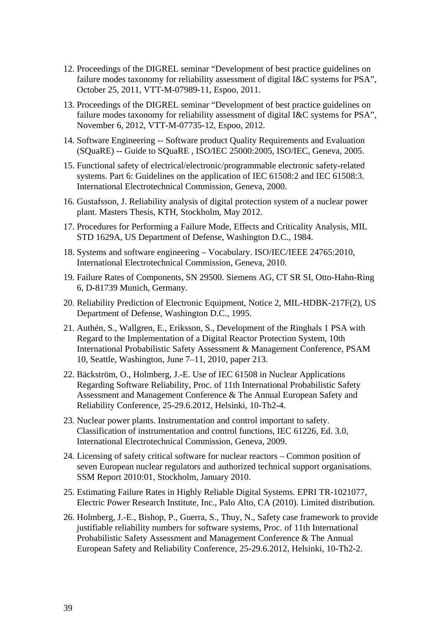- <span id="page-43-0"></span>12. Proceedings of the DIGREL seminar "Development of best practice guidelines on failure modes taxonomy for reliability assessment of digital I&C systems for PSA", October 25, 2011, VTT-M-07989-11, Espoo, 2011.
- <span id="page-43-1"></span>13. Proceedings of the DIGREL seminar "Development of best practice guidelines on failure modes taxonomy for reliability assessment of digital I&C systems for PSA", November 6, 2012, VTT-M-07735-12, Espoo, 2012.
- <span id="page-43-4"></span>14. Software Engineering -- Software product Quality Requirements and Evaluation (SQuaRE) -- Guide to SQuaRE , ISO/IEC 25000:2005, ISO/IEC, Geneva, 2005.
- <span id="page-43-5"></span>15. Functional safety of electrical/electronic/programmable electronic safety-related systems. Part 6: Guidelines on the application of IEC 61508:2 and IEC 61508:3. International Electrotechnical Commission, Geneva, 2000.
- <span id="page-43-6"></span>16. Gustafsson, J. Reliability analysis of digital protection system of a nuclear power plant. Masters Thesis, KTH, Stockholm, May 2012.
- <span id="page-43-2"></span>17. Procedures for Performing a Failure Mode, Effects and Criticality Analysis, MIL STD 1629A, US Department of Defense, Washington D.C., 1984.
- <span id="page-43-3"></span>18. Systems and software engineering – Vocabulary. ISO/IEC/IEEE 24765:2010, International Electrotechnical Commission, Geneva, 2010.
- <span id="page-43-7"></span>19. Failure Rates of Components, SN 29500. Siemens AG, CT SR SI, Otto-Hahn-Ring 6, D-81739 Munich, Germany.
- <span id="page-43-8"></span>20. Reliability Prediction of Electronic Equipment, Notice 2, MIL-HDBK-217F(2), US Department of Defense, Washington D.C., 1995.
- <span id="page-43-9"></span>21. Authén, S., Wallgren, E., Eriksson, S., Development of the Ringhals 1 PSA with Regard to the Implementation of a Digital Reactor Protection System, 10th International Probabilistic Safety Assessment & Management Conference, PSAM 10, Seattle, Washington, June 7–11, 2010, paper 213.
- <span id="page-43-10"></span>22. Bäckström, O., Holmberg, J.-E. Use of IEC 61508 in Nuclear Applications Regarding Software Reliability, Proc. of 11th International Probabilistic Safety Assessment and Management Conference & The Annual European Safety and Reliability Conference, 25-29.6.2012, Helsinki, 10-Th2-4.
- <span id="page-43-11"></span>23. Nuclear power plants. Instrumentation and control important to safety. Classification of instrumentation and control functions, IEC 61226, Ed. 3.0, International Electrotechnical Commission, Geneva, 2009.
- <span id="page-43-12"></span>24. Licensing of safety critical software for nuclear reactors – Common position of seven European nuclear regulators and authorized technical support organisations. SSM Report 2010:01, Stockholm, January 2010.
- <span id="page-43-13"></span>25. Estimating Failure Rates in Highly Reliable Digital Systems. EPRI TR-1021077, Electric Power Research Institute, Inc., Palo Alto, CA (2010). Limited distribution.
- <span id="page-43-14"></span>26. Holmberg, J.-E., Bishop, P., Guerra, S., Thuy, N., Safety case framework to provide justifiable reliability numbers for software systems, Proc. of 11th International Probabilistic Safety Assessment and Management Conference & The Annual European Safety and Reliability Conference, 25-29.6.2012, Helsinki, 10-Th2-2.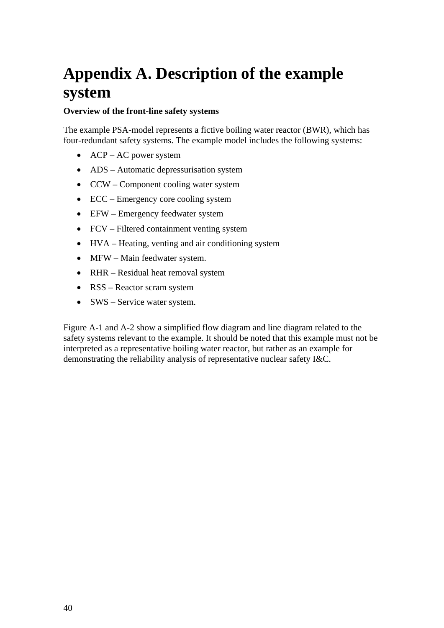# **Appendix A. Description of the example system**

#### **Overview of the front-line safety systems**

The example PSA-model represents a fictive boiling water reactor (BWR), which has four-redundant safety systems. The example model includes the following systems:

- ACP AC power system
- ADS Automatic depressurisation system
- CCW Component cooling water system
- ECC Emergency core cooling system
- EFW Emergency feedwater system
- FCV Filtered containment venting system
- HVA Heating, venting and air conditioning system
- MFW Main feedwater system.
- RHR Residual heat removal system
- RSS Reactor scram system
- SWS Service water system.

Figure A-1 and A-2 show a simplified flow diagram and line diagram related to the safety systems relevant to the example. It should be noted that this example must not be interpreted as a representative boiling water reactor, but rather as an example for demonstrating the reliability analysis of representative nuclear safety I&C.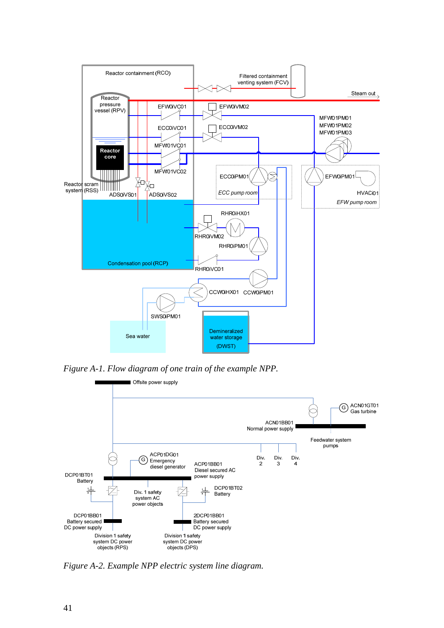

*Figure A-1. Flow diagram of one train of the example NPP.* 



*Figure A-2. Example NPP electric system line diagram.*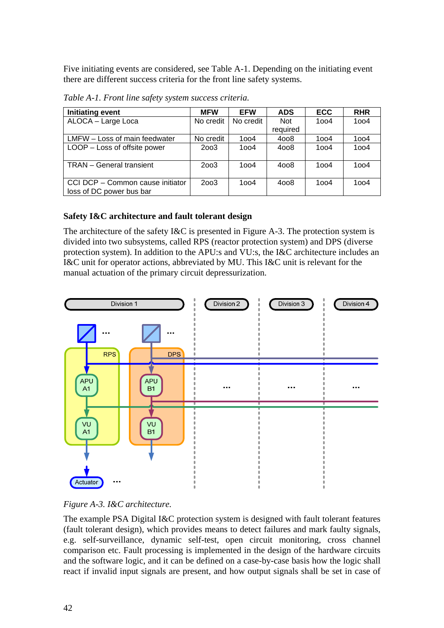Five initiating events are considered, see Table A-1. Depending on the initiating event there are different success criteria for the front line safety systems.

| <b>Initiating event</b>          | <b>MFW</b> | <b>EFW</b> | <b>ADS</b> | <b>ECC</b> | <b>RHR</b> |
|----------------------------------|------------|------------|------------|------------|------------|
| ALOCA - Large Loca               | No credit  | No credit  | <b>Not</b> | 1004       | 1004       |
|                                  |            |            | required   |            |            |
| LMFW - Loss of main feedwater    | No credit  | 1004       | 4008       | 1004       | 1004       |
| LOOP - Loss of offsite power     | 2003       | 1004       | 4008       | 1004       | 1004       |
|                                  |            |            |            |            |            |
| <b>TRAN</b> – General transient  | 2003       | 1004       | 4008       | 1004       | 1004       |
|                                  |            |            |            |            |            |
| CCI DCP - Common cause initiator | 2003       | 1004       | 4008       | 1004       | 1004       |
| loss of DC power bus bar         |            |            |            |            |            |

*Table A-1. Front line safety system success criteria.* 

#### **Safety I&C architecture and fault tolerant design**

The architecture of the safety I&C is presented in Figure A-3. The protection system is divided into two subsystems, called RPS (reactor protection system) and DPS (diverse protection system). In addition to the APU:s and VU:s, the I&C architecture includes an I&C unit for operator actions, abbreviated by MU. This I&C unit is relevant for the manual actuation of the primary circuit depressurization.



*Figure A-3. I&C architecture.* 

The example PSA Digital I&C protection system is designed with fault tolerant features (fault tolerant design), which provides means to detect failures and mark faulty signals, e.g. self-surveillance, dynamic self-test, open circuit monitoring, cross channel comparison etc. Fault processing is implemented in the design of the hardware circuits and the software logic, and it can be defined on a case-by-case basis how the logic shall react if invalid input signals are present, and how output signals shall be set in case of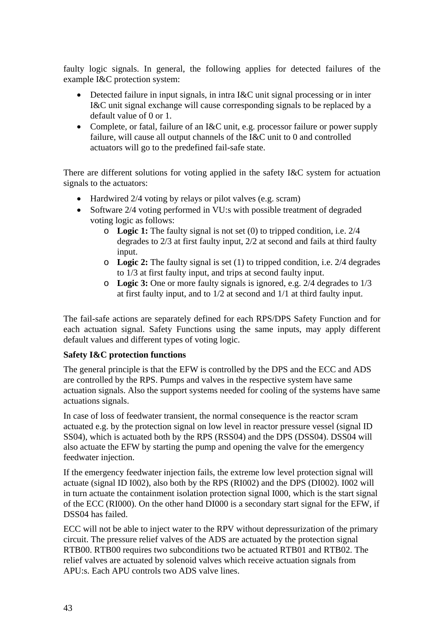faulty logic signals. In general, the following applies for detected failures of the example I&C protection system:

- Detected failure in input signals, in intra I&C unit signal processing or in inter I&C unit signal exchange will cause corresponding signals to be replaced by a default value of 0 or 1.
- Complete, or fatal, failure of an I&C unit, e.g. processor failure or power supply failure, will cause all output channels of the I&C unit to 0 and controlled actuators will go to the predefined fail-safe state.

There are different solutions for voting applied in the safety I&C system for actuation signals to the actuators:

- Hardwired 2/4 voting by relays or pilot valves (e.g. scram)
- Software 2/4 voting performed in VU:s with possible treatment of degraded voting logic as follows:
	- o **Logic 1:** The faulty signal is not set (0) to tripped condition, i.e. 2/4 degrades to 2/3 at first faulty input, 2/2 at second and fails at third faulty input.
	- o **Logic 2:** The faulty signal is set (1) to tripped condition, i.e. 2/4 degrades to 1/3 at first faulty input, and trips at second faulty input.
	- o **Logic 3:** One or more faulty signals is ignored, e.g. 2/4 degrades to 1/3 at first faulty input, and to 1/2 at second and 1/1 at third faulty input.

The fail-safe actions are separately defined for each RPS/DPS Safety Function and for each actuation signal. Safety Functions using the same inputs, may apply different default values and different types of voting logic.

#### **Safety I&C protection functions**

The general principle is that the EFW is controlled by the DPS and the ECC and ADS are controlled by the RPS. Pumps and valves in the respective system have same actuation signals. Also the support systems needed for cooling of the systems have same actuations signals.

In case of loss of feedwater transient, the normal consequence is the reactor scram actuated e.g. by the protection signal on low level in reactor pressure vessel (signal ID SS04), which is actuated both by the RPS (RSS04) and the DPS (DSS04). DSS04 will also actuate the EFW by starting the pump and opening the valve for the emergency feedwater injection.

If the emergency feedwater injection fails, the extreme low level protection signal will actuate (signal ID I002), also both by the RPS (RI002) and the DPS (DI002). I002 will in turn actuate the containment isolation protection signal I000, which is the start signal of the ECC (RI000). On the other hand DI000 is a secondary start signal for the EFW, if DSS04 has failed.

ECC will not be able to inject water to the RPV without depressurization of the primary circuit. The pressure relief valves of the ADS are actuated by the protection signal RTB00. RTB00 requires two subconditions two be actuated RTB01 and RTB02. The relief valves are actuated by solenoid valves which receive actuation signals from APU:s. Each APU controls two ADS valve lines.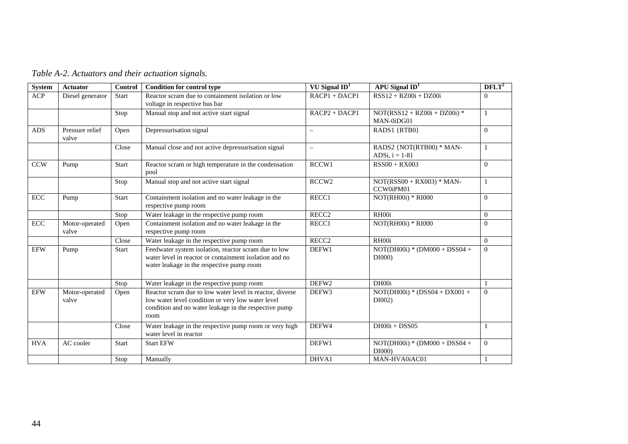| <b>System</b> | <b>Actuator</b>          | Control      | <b>Condition for control type</b>                                                                                                                                              | $VU$ Signal $ID1$ | $APU$ Signal $ID1$                           | $DFLT2$        |
|---------------|--------------------------|--------------|--------------------------------------------------------------------------------------------------------------------------------------------------------------------------------|-------------------|----------------------------------------------|----------------|
| ACP           | Diesel generator         | Start        | Reactor scram due to containment isolation or low<br>voltage in respective bus bar                                                                                             | RACP1 + DACP1     | $RSS12 + RZ00i + DZ00i$                      | $\Omega$       |
|               |                          | Stop         | Manual stop and not active start signal                                                                                                                                        | $RACP2 + DACP1$   | $NOT(RSS12 + RZ00i + DZ00i)$ *<br>MAN-0iDG01 | 1              |
| <b>ADS</b>    | Pressure relief<br>valve | Open         | Depressurisation signal                                                                                                                                                        | $\qquad \qquad -$ | RADS1 {RTB0}                                 | $\Omega$       |
|               |                          | Close        | Manual close and not active depressurisation signal                                                                                                                            | $\equiv$          | RADS2 {NOT(RTB00) * MAN-<br>ADSi, $i = 1-8$  |                |
| <b>CCW</b>    | Pump                     | Start        | Reactor scram or high temperature in the condensation<br>pool                                                                                                                  | RCCW1             | $RSS00 + RX003$                              | $\Omega$       |
|               |                          | Stop         | Manual stop and not active start signal                                                                                                                                        | RCCW <sub>2</sub> | $NOT(RSS00 + RX003) * MAN-$<br>CCW0iPM01     |                |
| ECC           | Pump                     | <b>Start</b> | Containment isolation and no water leakage in the<br>respective pump room                                                                                                      | RECC1             | NOT(RH00i) * RI000                           | $\Omega$       |
|               |                          | Stop         | Water leakage in the respective pump room                                                                                                                                      | RECC <sub>2</sub> | RH <sub>00i</sub>                            | $\overline{0}$ |
| ECC           | Motor-operated<br>valve  | Open         | Containment isolation and no water leakage in the<br>respective pump room                                                                                                      | RECC1             | NOT(RH00i) * RI000                           | $\Omega$       |
|               |                          | Close        | Water leakage in the respective pump room                                                                                                                                      | RECC <sub>2</sub> | RH <sub>00i</sub>                            | $\Omega$       |
| <b>EFW</b>    | Pump                     | Start        | Feedwater system isolation, reactor scram due to low<br>water level in reactor or containment isolation and no<br>water leakage in the respective pump room                    | DEFW1             | $NOT(DH00i) * (DM000 + DSS04 +$<br>DI000     | $\Omega$       |
|               |                          | Stop         | Water leakage in the respective pump room                                                                                                                                      | DEFW2             | DH00i                                        |                |
| <b>EFW</b>    | Motor-operated<br>valve  | Open         | Reactor scram due to low water level in reactor, diverse<br>low water level condition or very low water level<br>condition and no water leakage in the respective pump<br>room | DEFW3             | NOT(DH00i) * (DSS04 + DX001 +<br>DI002)      | $\Omega$       |
|               |                          | Close        | Water leakage in the respective pump room or very high<br>water level in reactor                                                                                               | DEFW4             | $DH00i + DSS05$                              |                |
| <b>HVA</b>    | AC cooler                | Start        | <b>Start EFW</b>                                                                                                                                                               | DEFW1             | $NOT(DH00i) * (DM000 + DSS04 +$<br>DI000     | $\Omega$       |
|               |                          | Stop         | Manually                                                                                                                                                                       | DHVA1             | MAN-HVA0iAC01                                |                |

*Table A-2. Actuators and their actuation signals.*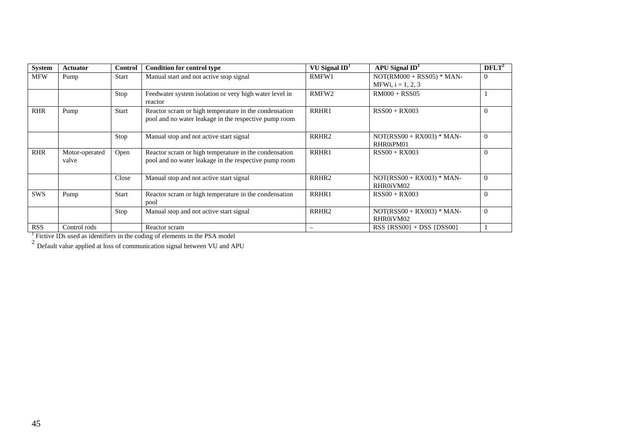| <b>System</b> | Actuator                | <b>Control</b> | <b>Condition for control type</b>                                                                              | VU Signal $ID1$   | APU Signal $ID1$                                   | $DFLT2$  |
|---------------|-------------------------|----------------|----------------------------------------------------------------------------------------------------------------|-------------------|----------------------------------------------------|----------|
| <b>MFW</b>    | Pump                    | <b>Start</b>   | Manual start and not active stop signal                                                                        | RMFW1             | $NOT(RM000 + RSS05) * MAN-$<br>MFWi, $i = 1, 2, 3$ | $\Omega$ |
|               |                         | Stop           | Feedwater system isolation or very high water level in<br>reactor                                              | RMFW <sub>2</sub> | $RM000 + RSS05$                                    |          |
| <b>RHR</b>    | Pump                    | Start          | Reactor scram or high temperature in the condensation<br>pool and no water leakage in the respective pump room | RRHR1             | $RSS00 + RX003$                                    | $\theta$ |
|               |                         | Stop           | Manual stop and not active start signal                                                                        | RRHR <sub>2</sub> | $NOT(RSS00 + RX003) * MAN-$<br>RHR0iPM01           | $\theta$ |
| <b>RHR</b>    | Motor-operated<br>valve | Open           | Reactor scram or high temperature in the condensation<br>pool and no water leakage in the respective pump room | RRHR1             | $RSS00 + RX003$                                    | $\theta$ |
|               |                         | Close          | Manual stop and not active start signal                                                                        | RRHR <sub>2</sub> | $NOT(RSS00 + RX003) * MAN-$<br>RHR0iVM02           | $\Omega$ |
| <b>SWS</b>    | Pump                    | Start          | Reactor scram or high temperature in the condensation<br>pool                                                  | RRHR1             | $RSS00 + RX003$                                    | $\theta$ |
|               |                         | Stop           | Manual stop and not active start signal                                                                        | RRHR <sub>2</sub> | $NOT(RSS00 + RX003) * MAN-$<br>RHR0iVM02           | $\Omega$ |
| <b>RSS</b>    | Control rods            |                | Reactor scram                                                                                                  |                   | RSS $\{RSS00\}$ + DSS $\{DSS00\}$                  |          |

<sup>1</sup> Fictive IDs used as identifiers in the coding of elements in the PSA model  $2^{2}$  Default value applied at loss of communication signal between VU and APU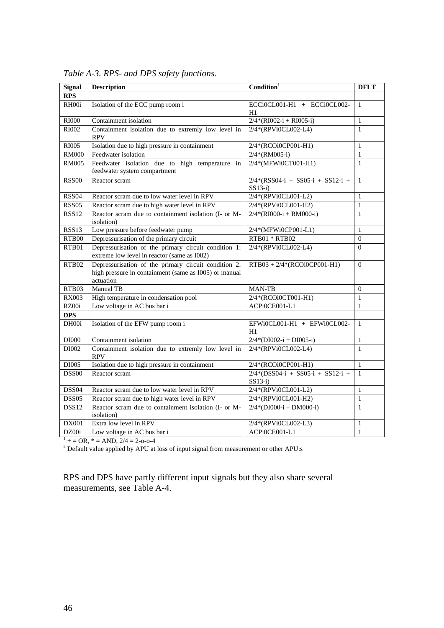| <b>Signal</b>                                                                            | <b>Description</b>                                                                                                         | Condition <sup>1</sup>                          | <b>DFLT</b>  |  |  |  |
|------------------------------------------------------------------------------------------|----------------------------------------------------------------------------------------------------------------------------|-------------------------------------------------|--------------|--|--|--|
| <b>RPS</b>                                                                               |                                                                                                                            |                                                 |              |  |  |  |
| RH00i                                                                                    | Isolation of the ECC pump room i                                                                                           | ECCi0CL001-H1 + ECCi0CL002-<br>H1               | $\mathbf{1}$ |  |  |  |
| RI000                                                                                    | Containment isolation                                                                                                      | $\sqrt{2/4}$ *(RI002-i + RI005-i)               | $\mathbf{1}$ |  |  |  |
| RI002                                                                                    | Containment isolation due to extremly low level in<br><b>RPV</b>                                                           | 2/4*(RPVi0CL002-L4)                             | $\mathbf{1}$ |  |  |  |
| <b>RI005</b>                                                                             | Isolation due to high pressure in containment                                                                              | 2/4*(RCOi0CP001-H1)                             | $\mathbf{1}$ |  |  |  |
| <b>RM000</b>                                                                             | Feedwater isolation                                                                                                        | $2/4*(RM005-i)$                                 | $\mathbf{1}$ |  |  |  |
| <b>RM005</b>                                                                             | Feedwater isolation due to high temperature<br>in<br>feedwater system compartment                                          | 2/4*(MFWi0CT001-H1)                             | $\mathbf{1}$ |  |  |  |
| <b>RSS00</b>                                                                             | Reactor scram                                                                                                              | $2/4*(RSS04-i + SS05-i + SS12-i +$<br>$SS13-i)$ | $\mathbf{1}$ |  |  |  |
| RSS <sub>04</sub>                                                                        | Reactor scram due to low water level in RPV                                                                                | 2/4*(RPVi0CL001-L2)                             | 1            |  |  |  |
| RSS <sub>05</sub>                                                                        | Reactor scram due to high water level in RPV                                                                               | 2/4*(RPVi0CL001-H2)                             | $\mathbf{1}$ |  |  |  |
| RSS <sub>12</sub>                                                                        | Reactor scram due to containment isolation (I- or M-<br><i>isolation</i> )                                                 | $2/4*(RIO00-i + RM000-i)$                       | $\mathbf{1}$ |  |  |  |
| <b>RSS13</b>                                                                             | Low pressure before feedwater pump                                                                                         | 2/4*(MFWi0CP001-L1)                             | $\mathbf{1}$ |  |  |  |
| RTB00                                                                                    | Depressurisation of the primary circuit                                                                                    | RTB01 * RTB02                                   | $\Omega$     |  |  |  |
| RTB01                                                                                    | Depressurisation of the primary circuit condition 1:<br>extreme low level in reactor (same as I002)                        | 2/4*(RPVi0CL002-L4)                             | $\Omega$     |  |  |  |
| RTB <sub>02</sub>                                                                        | Depressurisation of the primary circuit condition 2:<br>high pressure in containment (same as I005) or manual<br>actuation | $RTB03 + 2/4*(RCOi0CP001-H1)$                   | $\Omega$     |  |  |  |
| RTB03                                                                                    | Manual TB                                                                                                                  | <b>MAN-TB</b>                                   | $\Omega$     |  |  |  |
| <b>RX003</b>                                                                             | High temperature in condensation pool                                                                                      | 2/4*(RCOi0CT001-H1)                             | $\mathbf{1}$ |  |  |  |
| RZ00i                                                                                    | Low voltage in AC bus bar i                                                                                                | ACPi0CE001-L1                                   | $\mathbf{1}$ |  |  |  |
| <b>DPS</b>                                                                               |                                                                                                                            |                                                 |              |  |  |  |
| DH00i                                                                                    | Isolation of the EFW pump room i                                                                                           | EFWi0CL001-H1 + EFWi0CL002-<br>H1               | $\mathbf{1}$ |  |  |  |
| DI000                                                                                    | Containment isolation                                                                                                      | $2/4*(D1002-i + D1005-i)$                       | $\mathbf{1}$ |  |  |  |
| DI002                                                                                    | Containment isolation due to extremly low level in<br><b>RPV</b>                                                           | 2/4*(RPVi0CL002-L4)                             | $\mathbf{1}$ |  |  |  |
| DI005                                                                                    | Isolation due to high pressure in containment                                                                              | 2/4*(RCOi0CP001-H1)                             | $\mathbf{1}$ |  |  |  |
| DSS <sub>00</sub>                                                                        | Reactor scram                                                                                                              | $2/4*(DSS04-i + SS05-i + SS12-i +$<br>$SS13-i)$ | $\mathbf{1}$ |  |  |  |
| DSS <sub>04</sub>                                                                        | Reactor scram due to low water level in RPV                                                                                | 2/4*(RPVi0CL001-L2)                             | $\mathbf{1}$ |  |  |  |
| DSS <sub>05</sub>                                                                        | Reactor scram due to high water level in RPV                                                                               | 2/4*(RPVi0CL001-H2)                             | $\mathbf{1}$ |  |  |  |
| DSS <sub>12</sub>                                                                        | Reactor scram due to containment isolation (I- or M-<br>isolation)                                                         | $2/4*(D1000-i + DM000-i)$                       | $\mathbf{1}$ |  |  |  |
| <b>DX001</b>                                                                             | Extra low level in RPV                                                                                                     | 2/4*(RPVi0CL002-L3)                             | $\mathbf{1}$ |  |  |  |
| DZ00i                                                                                    | Low voltage in AC bus bar i                                                                                                | ACPi0CE001-L1                                   | $\mathbf{1}$ |  |  |  |
|                                                                                          | $+=$ OR, $*$ = AND, 2/4 = 2-o-o-4                                                                                          |                                                 |              |  |  |  |
| $2$ Default value applied by APU at loss of input signal from measurement or other APU:s |                                                                                                                            |                                                 |              |  |  |  |

| Table A-3. RPS- and DPS safety functions. |  |  |
|-------------------------------------------|--|--|
|                                           |  |  |

RPS and DPS have partly different input signals but they also share several measurements, see Table A-4.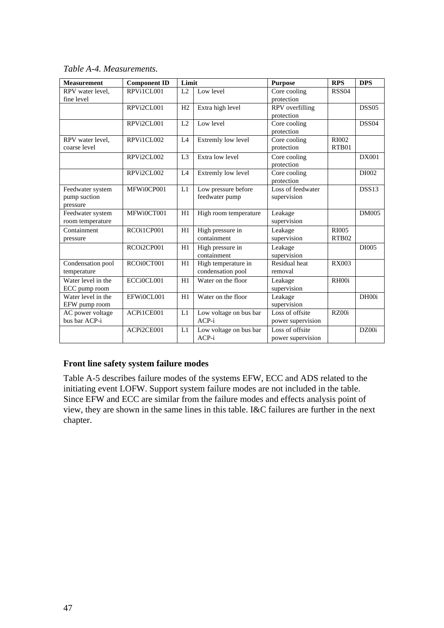*Table A-4. Measurements.* 

| <b>Measurement</b> | <b>Component ID</b> | Limit          |                        | <b>Purpose</b>                   | <b>RPS</b>        | <b>DPS</b>        |
|--------------------|---------------------|----------------|------------------------|----------------------------------|-------------------|-------------------|
| RPV water level.   | RPVi1CL001          | L <sub>2</sub> | Low level              | $\overline{\text{Core}}$ cooling | <b>RSS04</b>      |                   |
| fine level         |                     |                |                        | protection                       |                   |                   |
|                    | RPVi2CL001          | H <sub>2</sub> | Extra high level       | RPV overfilling                  |                   | <b>DSS05</b>      |
|                    |                     |                |                        | protection                       |                   |                   |
|                    | RPVi2CL001          | L2             | Low level              | Core cooling                     |                   | DSS <sub>04</sub> |
|                    |                     |                |                        | protection                       |                   |                   |
| RPV water level,   | RPVi1CL002          | L4             | Extremly low level     | Core cooling                     | RI002             |                   |
| coarse level       |                     |                |                        | protection                       | RTB01             |                   |
|                    | RPVi2CL002          | L <sub>3</sub> | Extra low level        | Core cooling                     |                   | <b>DX001</b>      |
|                    |                     |                |                        | protection                       |                   |                   |
|                    | RPVi2CL002          | L4             | Extremly low level     | Core cooling                     |                   | DI002             |
|                    |                     |                |                        | protection                       |                   |                   |
| Feedwater system   | MFWi0CP001          | L1             | Low pressure before    | Loss of feedwater                |                   | DSS13             |
| pump suction       |                     |                | feedwater pump         | supervision                      |                   |                   |
| pressure           |                     |                |                        |                                  |                   |                   |
| Feedwater system   | MFWi0CT001          | H1             | High room temperature  | Leakage                          |                   | <b>DM005</b>      |
| room temperature   |                     |                |                        | supervision                      |                   |                   |
| Containment        | RCOi1CP001          | H1             | High pressure in       | Leakage                          | RI005             |                   |
| pressure           |                     |                | containment            | supervision                      | RTB <sub>02</sub> |                   |
|                    | RCOi2CP001          | H1             | High pressure in       | Leakage                          |                   | DI005             |
|                    |                     |                | containment            | supervision                      |                   |                   |
| Condensation pool  | RCOi0CT001          | H1             | High temperature in    | Residual heat                    | RX003             |                   |
| temperature        |                     |                | condensation pool      | removal                          |                   |                   |
| Water level in the | ECCi0CL001          | H1             | Water on the floor     | Leakage                          | RH <sub>00i</sub> |                   |
| ECC pump room      |                     |                |                        | supervision                      |                   |                   |
| Water level in the | EFWi0CL001          | H1             | Water on the floor     | Leakage                          |                   | DH00i             |
| EFW pump room      |                     |                |                        | supervision                      |                   |                   |
| AC power voltage   | ACPi1CE001          | L1             | Low voltage on bus bar | Loss of offsite                  | RZ00i             |                   |
| bus bar ACP-i      |                     |                | ACP-i                  | power supervision                |                   |                   |
|                    | ACPi2CE001          | L1             | Low voltage on bus bar | Loss of offsite                  |                   | DZ00i             |
|                    |                     |                | ACP-i                  | power supervision                |                   |                   |

#### **Front line safety system failure modes**

Table A-5 describes failure modes of the systems EFW, ECC and ADS related to the initiating event LOFW. Support system failure modes are not included in the table. Since EFW and ECC are similar from the failure modes and effects analysis point of view, they are shown in the same lines in this table. I&C failures are further in the next chapter.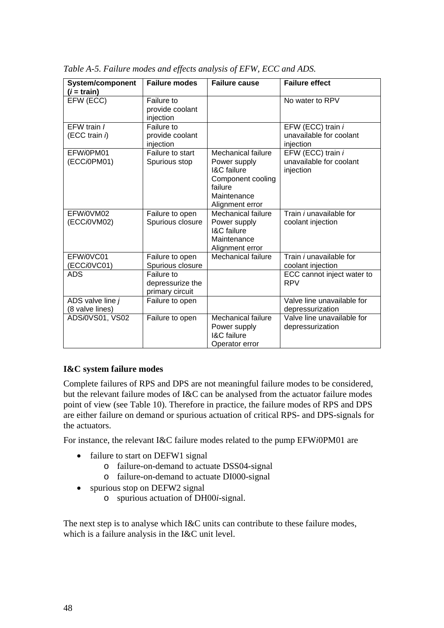| <b>System/component</b>   | <b>Failure modes</b>          | <b>Failure cause</b>                                     | <b>Failure effect</b>                |
|---------------------------|-------------------------------|----------------------------------------------------------|--------------------------------------|
| $(i = train)$             |                               |                                                          |                                      |
| EFW (ECC)                 | Failure to<br>provide coolant |                                                          | No water to RPV                      |
|                           | injection                     |                                                          |                                      |
| EFW train /               | Failure to                    |                                                          | EFW (ECC) train i                    |
| (ECC train $\hat{\eta}$ ) | provide coolant<br>injection  |                                                          | unavailable for coolant<br>injection |
| EFW/0PM01                 | Failure to start              | Mechanical failure                                       | EFW (ECC) train i                    |
| (ECCI0PM01)               | Spurious stop                 | Power supply                                             | unavailable for coolant              |
|                           |                               | I&C failure                                              | injection                            |
|                           |                               | Component cooling<br>failure                             |                                      |
|                           |                               | Maintenance                                              |                                      |
|                           |                               | Alignment error                                          |                                      |
| EFW/0VM02                 | Failure to open               | Mechanical failure                                       | Train <i>i</i> unavailable for       |
| (ECCIOVM02)               | Spurious closure              | Power supply                                             | coolant injection                    |
|                           |                               | <b>I&amp;C</b> failure                                   |                                      |
|                           |                               | Maintenance                                              |                                      |
| EFW/0VC01                 | Failure to open               | Alignment error<br>Mechanical failure                    | Train <i>i</i> unavailable for       |
| ECCIOVC01)                | Spurious closure              |                                                          | coolant injection                    |
| <b>ADS</b>                | Failure to                    |                                                          | ECC cannot inject water to           |
|                           | depressurize the              |                                                          | <b>RPV</b>                           |
|                           | primary circuit               |                                                          |                                      |
| ADS valve line j          | Failure to open               |                                                          | Valve line unavailable for           |
| (8 valve lines)           |                               |                                                          | depressurization                     |
| ADS/0VS01, VS02           | Failure to open               | Mechanical failure                                       | Valve line unavailable for           |
|                           |                               |                                                          |                                      |
|                           |                               |                                                          |                                      |
|                           |                               | Power supply<br><b>I&amp;C</b> failure<br>Operator error | depressurization                     |

*Table A-5. Failure modes and effects analysis of EFW, ECC and ADS.* 

#### **I&C system failure modes**

Complete failures of RPS and DPS are not meaningful failure modes to be considered, but the relevant failure modes of I&C can be analysed from the actuator failure modes point of view (see Table 10). Therefore in practice, the failure modes of RPS and DPS are either failure on demand or spurious actuation of critical RPS- and DPS-signals for the actuators.

For instance, the relevant I&C failure modes related to the pump EFW*i*0PM01 are

- failure to start on DEFW1 signal
	- o failure-on-demand to actuate DSS04-signal
	- o failure-on-demand to actuate DI000-signal
- spurious stop on DEFW2 signal
	- o spurious actuation of DH00*i*-signal.

The next step is to analyse which I&C units can contribute to these failure modes, which is a failure analysis in the I&C unit level.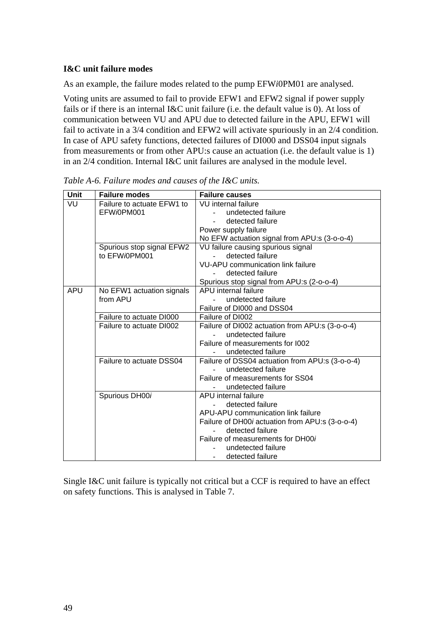#### **I&C unit failure modes**

As an example, the failure modes related to the pump EFW*i*0PM01 are analysed.

Voting units are assumed to fail to provide EFW1 and EFW2 signal if power supply fails or if there is an internal I&C unit failure (i.e. the default value is 0). At loss of communication between VU and APU due to detected failure in the APU, EFW1 will fail to activate in a 3/4 condition and EFW2 will activate spuriously in an 2/4 condition. In case of APU safety functions, detected failures of DI000 and DSS04 input signals from measurements or from other APU:s cause an actuation (i.e. the default value is 1) in an 2/4 condition. Internal I&C unit failures are analysed in the module level.

| <b>Unit</b> | <b>Failure modes</b>       | <b>Failure causes</b>                           |
|-------------|----------------------------|-------------------------------------------------|
| VU          | Failure to actuate EFW1 to | VU internal failure                             |
|             | EFWj0PM001                 | undetected failure                              |
|             |                            | detected failure                                |
|             |                            | Power supply failure                            |
|             |                            | No EFW actuation signal from APU:s (3-o-o-4)    |
|             | Spurious stop signal EFW2  | VU failure causing spurious signal              |
|             | to EFW/0PM001              | detected failure                                |
|             |                            | <b>VU-APU</b> communication link failure        |
|             |                            | detected failure                                |
|             |                            | Spurious stop signal from APU:s (2-o-o-4)       |
| <b>APU</b>  | No EFW1 actuation signals  | APU internal failure                            |
|             | from APU                   | undetected failure                              |
|             |                            | Failure of DI000 and DSS04                      |
|             | Failure to actuate DI000   | Failure of DI002                                |
|             | Failure to actuate DI002   | Failure of DI002 actuation from APU:s (3-o-o-4) |
|             |                            | undetected failure                              |
|             |                            | Failure of measurements for I002                |
|             |                            | - undetected failure                            |
|             | Failure to actuate DSS04   | Failure of DSS04 actuation from APU:s (3-o-o-4) |
|             |                            | undetected failure                              |
|             |                            | Failure of measurements for SS04                |
|             |                            | undetected failure                              |
|             | Spurious DH00i             | APU internal failure                            |
|             |                            | detected failure                                |
|             |                            | APU-APU communication link failure              |
|             |                            | Failure of DH00i actuation from APU:s (3-o-o-4) |
|             |                            | detected failure                                |
|             |                            | Failure of measurements for DH00i               |
|             |                            | undetected failure                              |
|             |                            | detected failure<br>$\sim 100$                  |

*Table A-6. Failure modes and causes of the I&C units.* 

Single I&C unit failure is typically not critical but a CCF is required to have an effect on safety functions. This is analysed in Table 7.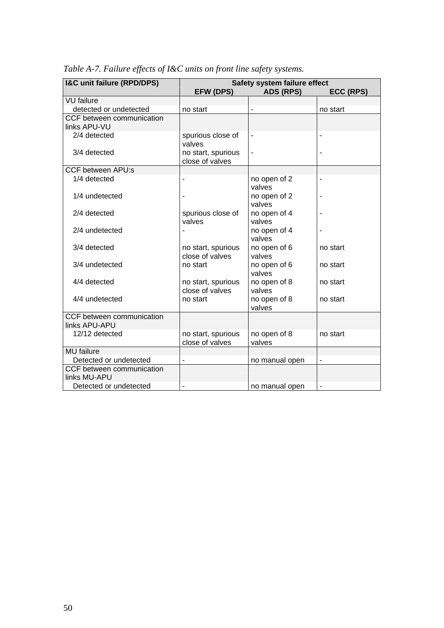| I&C unit failure (RPD/DPS)                 | Safety system failure effect          |                        |                  |  |  |
|--------------------------------------------|---------------------------------------|------------------------|------------------|--|--|
|                                            | <b>EFW (DPS)</b>                      | <b>ADS (RPS)</b>       | <b>ECC (RPS)</b> |  |  |
| <b>VU</b> failure                          |                                       |                        |                  |  |  |
| detected or undetected                     | no start                              |                        | no start         |  |  |
| CCF between communication<br>links APU-VU  |                                       |                        |                  |  |  |
| 2/4 detected                               | spurious close of<br>valves           | $\blacksquare$         |                  |  |  |
| 3/4 detected                               | no start, spurious<br>close of valves | $\blacksquare$         |                  |  |  |
| <b>CCF between APU:s</b>                   |                                       |                        |                  |  |  |
| 1/4 detected                               |                                       | no open of 2<br>valves | $\overline{a}$   |  |  |
| 1/4 undetected                             |                                       | no open of 2<br>valves |                  |  |  |
| 2/4 detected                               | spurious close of<br>valves           | no open of 4<br>valves |                  |  |  |
| 2/4 undetected                             |                                       | no open of 4<br>valves |                  |  |  |
| 3/4 detected                               | no start, spurious<br>close of valves | no open of 6<br>valves | no start         |  |  |
| 3/4 undetected                             | no start                              | no open of 6<br>valves | no start         |  |  |
| 4/4 detected                               | no start, spurious<br>close of valves | no open of 8<br>valves | no start         |  |  |
| 4/4 undetected                             | no start                              | no open of 8<br>valves | no start         |  |  |
| CCF between communication<br>links APU-APU |                                       |                        |                  |  |  |
| 12/12 detected                             | no start, spurious<br>close of valves | no open of 8<br>valves | no start         |  |  |
| <b>MU</b> failure                          |                                       |                        |                  |  |  |
| Detected or undetected                     | $\blacksquare$                        | no manual open         | $\blacksquare$   |  |  |
| CCF between communication<br>links MU-APU  |                                       |                        |                  |  |  |
| Detected or undetected                     |                                       | no manual open         |                  |  |  |

*Table A-7. Failure effects of I&C units on front line safety systems.*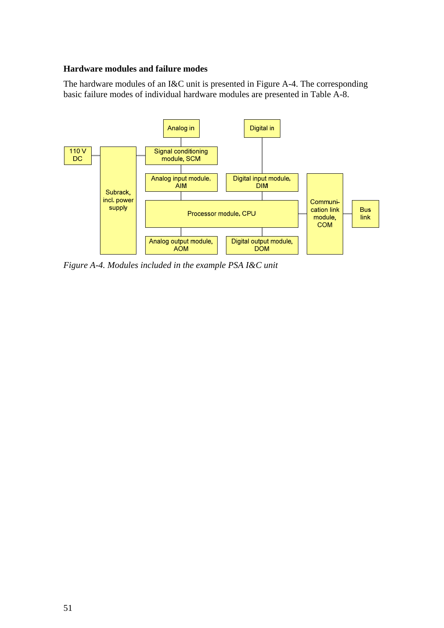#### **Hardware modules and failure modes**

The hardware modules of an I&C unit is presented in Figure A-4. The corresponding basic failure modes of individual hardware modules are presented in Table A-8.



*Figure A-4. Modules included in the example PSA I&C unit*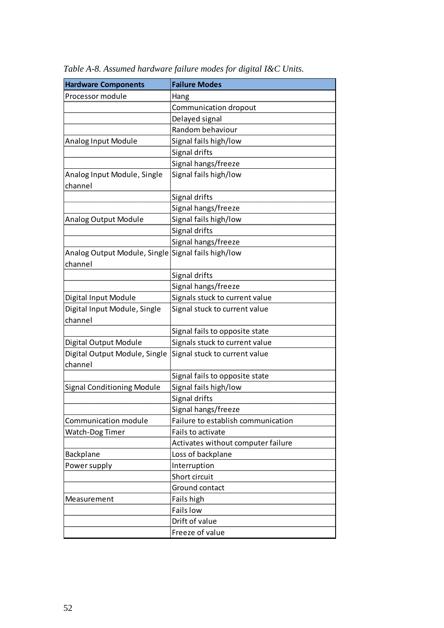| <b>Hardware Components</b>                         | <b>Failure Modes</b>                                             |  |  |  |  |
|----------------------------------------------------|------------------------------------------------------------------|--|--|--|--|
| Processor module                                   | Hang                                                             |  |  |  |  |
|                                                    | Communication dropout                                            |  |  |  |  |
|                                                    | Delayed signal                                                   |  |  |  |  |
|                                                    | Random behaviour                                                 |  |  |  |  |
| Analog Input Module                                | Signal fails high/low                                            |  |  |  |  |
|                                                    | Signal drifts                                                    |  |  |  |  |
|                                                    | Signal hangs/freeze                                              |  |  |  |  |
| Analog Input Module, Single<br>channel             | Signal fails high/low                                            |  |  |  |  |
|                                                    | Signal drifts                                                    |  |  |  |  |
|                                                    | Signal hangs/freeze                                              |  |  |  |  |
| <b>Analog Output Module</b>                        | Signal fails high/low                                            |  |  |  |  |
|                                                    | Signal drifts                                                    |  |  |  |  |
|                                                    | Signal hangs/freeze                                              |  |  |  |  |
| Analog Output Module, Single Signal fails high/low |                                                                  |  |  |  |  |
| channel                                            |                                                                  |  |  |  |  |
|                                                    | Signal drifts                                                    |  |  |  |  |
|                                                    | Signal hangs/freeze                                              |  |  |  |  |
| Digital Input Module                               | Signals stuck to current value                                   |  |  |  |  |
| Digital Input Module, Single<br>channel            | Signal stuck to current value                                    |  |  |  |  |
|                                                    |                                                                  |  |  |  |  |
|                                                    | Signal fails to opposite state<br>Signals stuck to current value |  |  |  |  |
| Digital Output Module                              |                                                                  |  |  |  |  |
| Digital Output Module, Single<br>channel           | Signal stuck to current value                                    |  |  |  |  |
|                                                    | Signal fails to opposite state                                   |  |  |  |  |
| <b>Signal Conditioning Module</b>                  | Signal fails high/low                                            |  |  |  |  |
|                                                    | Signal drifts                                                    |  |  |  |  |
|                                                    | Signal hangs/freeze                                              |  |  |  |  |
| <b>Communication module</b>                        | Failure to establish communication                               |  |  |  |  |
| Watch-Dog Timer                                    | Fails to activate                                                |  |  |  |  |
|                                                    | Activates without computer failure                               |  |  |  |  |
| Backplane                                          | Loss of backplane                                                |  |  |  |  |
| Power supply                                       | Interruption                                                     |  |  |  |  |
|                                                    | Short circuit                                                    |  |  |  |  |
|                                                    | Ground contact                                                   |  |  |  |  |
| Measurement                                        | Fails high                                                       |  |  |  |  |
|                                                    | <b>Fails low</b>                                                 |  |  |  |  |
|                                                    | Drift of value                                                   |  |  |  |  |
|                                                    | Freeze of value                                                  |  |  |  |  |

*Table A-8. Assumed hardware failure modes for digital I&C Units.*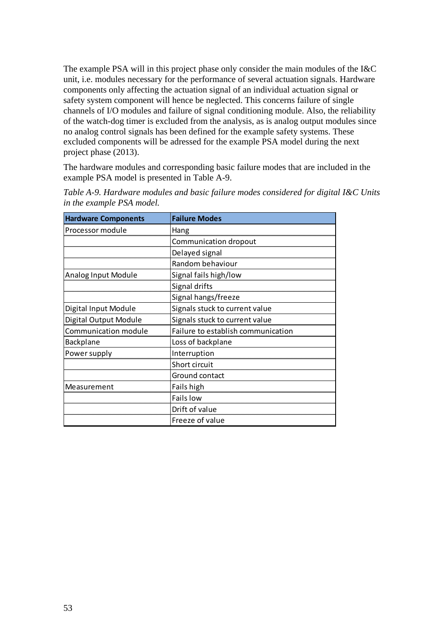The example PSA will in this project phase only consider the main modules of the I&C unit, i.e. modules necessary for the performance of several actuation signals. Hardware components only affecting the actuation signal of an individual actuation signal or safety system component will hence be neglected. This concerns failure of single channels of I/O modules and failure of signal conditioning module. Also, the reliability of the watch-dog timer is excluded from the analysis, as is analog output modules since no analog control signals has been defined for the example safety systems. These excluded components will be adressed for the example PSA model during the next project phase (2013).

The hardware modules and corresponding basic failure modes that are included in the example PSA model is presented in Table A-9.

| <b>Hardware Components</b> | <b>Failure Modes</b>               |  |  |
|----------------------------|------------------------------------|--|--|
| Processor module           | Hang                               |  |  |
|                            | Communication dropout              |  |  |
|                            | Delayed signal                     |  |  |
|                            | Random behaviour                   |  |  |
| Analog Input Module        | Signal fails high/low              |  |  |
|                            | Signal drifts                      |  |  |
|                            | Signal hangs/freeze                |  |  |
| Digital Input Module       | Signals stuck to current value     |  |  |
| Digital Output Module      | Signals stuck to current value     |  |  |
| Communication module       | Failure to establish communication |  |  |
| Backplane                  | Loss of backplane                  |  |  |
| Power supply               | Interruption                       |  |  |
|                            | Short circuit                      |  |  |
|                            | Ground contact                     |  |  |
| Measurement                | Fails high                         |  |  |
|                            | Fails low                          |  |  |
|                            | Drift of value                     |  |  |
|                            | Freeze of value                    |  |  |

*Table A-9. Hardware modules and basic failure modes considered for digital I&C Units in the example PSA model.*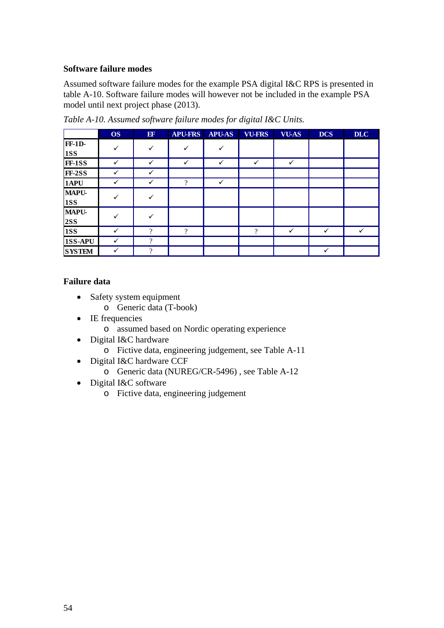#### **Software failure modes**

Assumed software failure modes for the example PSA digital I&C RPS is presented in table A-10. Software failure modes will however not be included in the example PSA model until next project phase (2013).

|                             | <b>OS</b>    | EF           | <b>APU-FRS</b> | <b>APU-AS</b> | <b>VU-FRS</b> | <b>VU-AS</b> | <b>DCS</b>   | <b>DLC</b> |
|-----------------------------|--------------|--------------|----------------|---------------|---------------|--------------|--------------|------------|
| <b>FF-1D-</b><br><b>1SS</b> | $\checkmark$ | $\checkmark$ | $\checkmark$   | $\checkmark$  |               |              |              |            |
| <b>FF-1SS</b>               | $\checkmark$ | $\checkmark$ | $\checkmark$   | $\checkmark$  | ✓             | $\checkmark$ |              |            |
| <b>FF-2SS</b>               | ✓            | $\checkmark$ |                |               |               |              |              |            |
| 1APU                        | $\checkmark$ | ✓            | $\gamma$       | $\checkmark$  |               |              |              |            |
| <b>MAPU-</b><br><b>1SS</b>  | $\checkmark$ | $\checkmark$ |                |               |               |              |              |            |
| <b>MAPU-</b><br>2SS         | ✓            |              |                |               |               |              |              |            |
| <b>1SS</b>                  | ✓            | $\Omega$     | ?              |               | $\gamma$      | $\checkmark$ | $\checkmark$ | ✓          |
| 1SS-APU                     | ✓            | 9            |                |               |               |              |              |            |
| <b>SYSTEM</b>               |              | റ            |                |               |               |              | ✓            |            |

*Table A-10. Assumed software failure modes for digital I&C Units.*

#### **Failure data**

- Safety system equipment
	- o Generic data (T-book)
- IE frequencies
	- o assumed based on Nordic operating experience
- Digital I&C hardware
	- o Fictive data, engineering judgement, see Table A-11
- Digital I&C hardware CCF
	- o Generic data (NUREG/CR-5496) , see Table A-12
- Digital I&C software
	- o Fictive data, engineering judgement